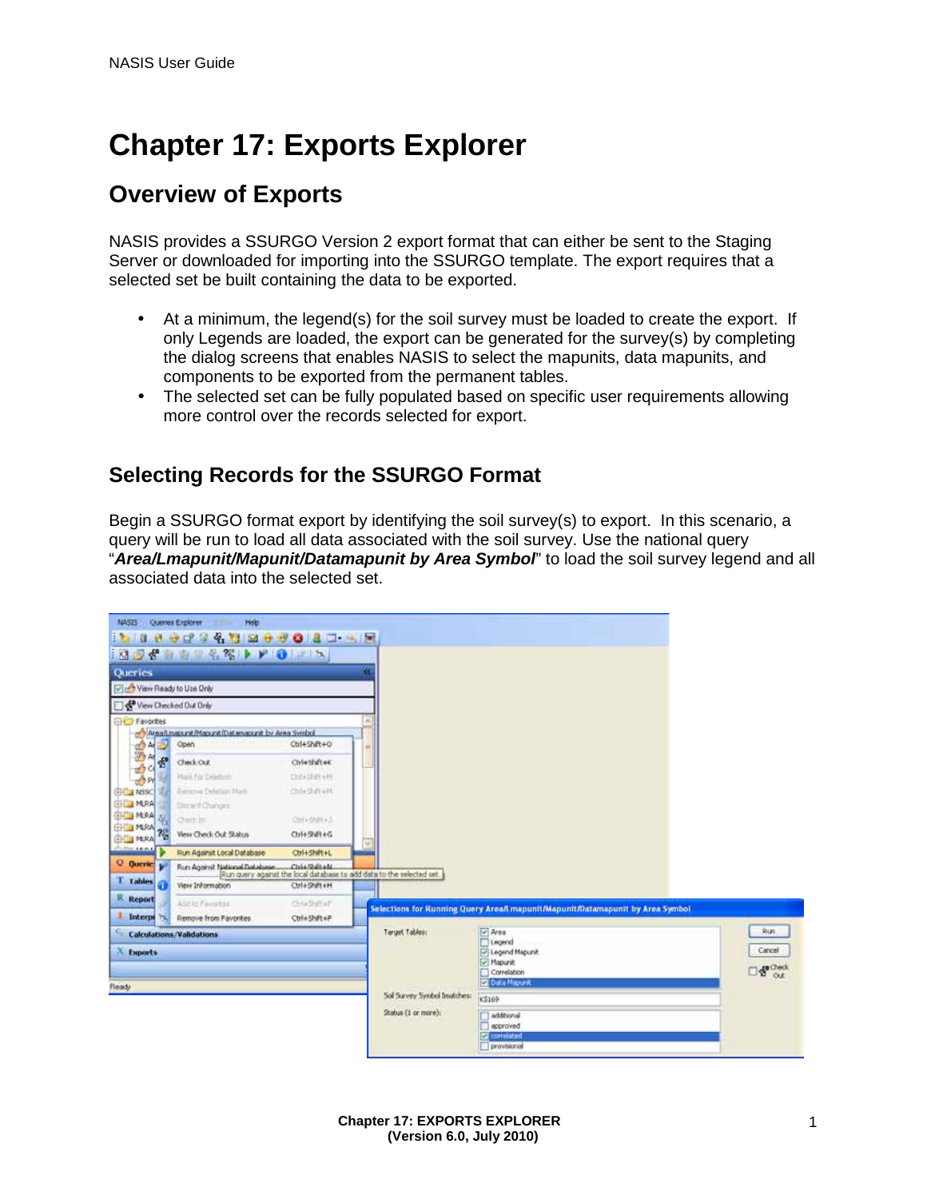# **Chapter 17: Exports Explorer**

# **Overview of Exports**

NASIS provides a SSURGO Version 2 export format that can either be sent to the Staging Server or downloaded for importing into the SSURGO template. The export requires that a selected set be built containing the data to be exported.

- At a minimum, the legend(s) for the soil survey must be loaded to create the export. If only Legends are loaded, the export can be generated for the survey(s) by completing the dialog screens that enables NASIS to select the mapunits, data mapunits, and components to be exported from the permanent tables.
- The selected set can be fully populated based on specific user requirements allowing ÷. more control over the records selected for export.

### **Selecting Records for the SSURGO Format**

Begin a SSURGO format export by identifying the soil survey(s) to export. In this scenario, a query will be run to load all data associated with the soil survey. Use the national query "*Area/Lmapunit/Mapunit/Datamapunit by Area Symbol*" to load the soil survey legend and all associated data into the selected set.

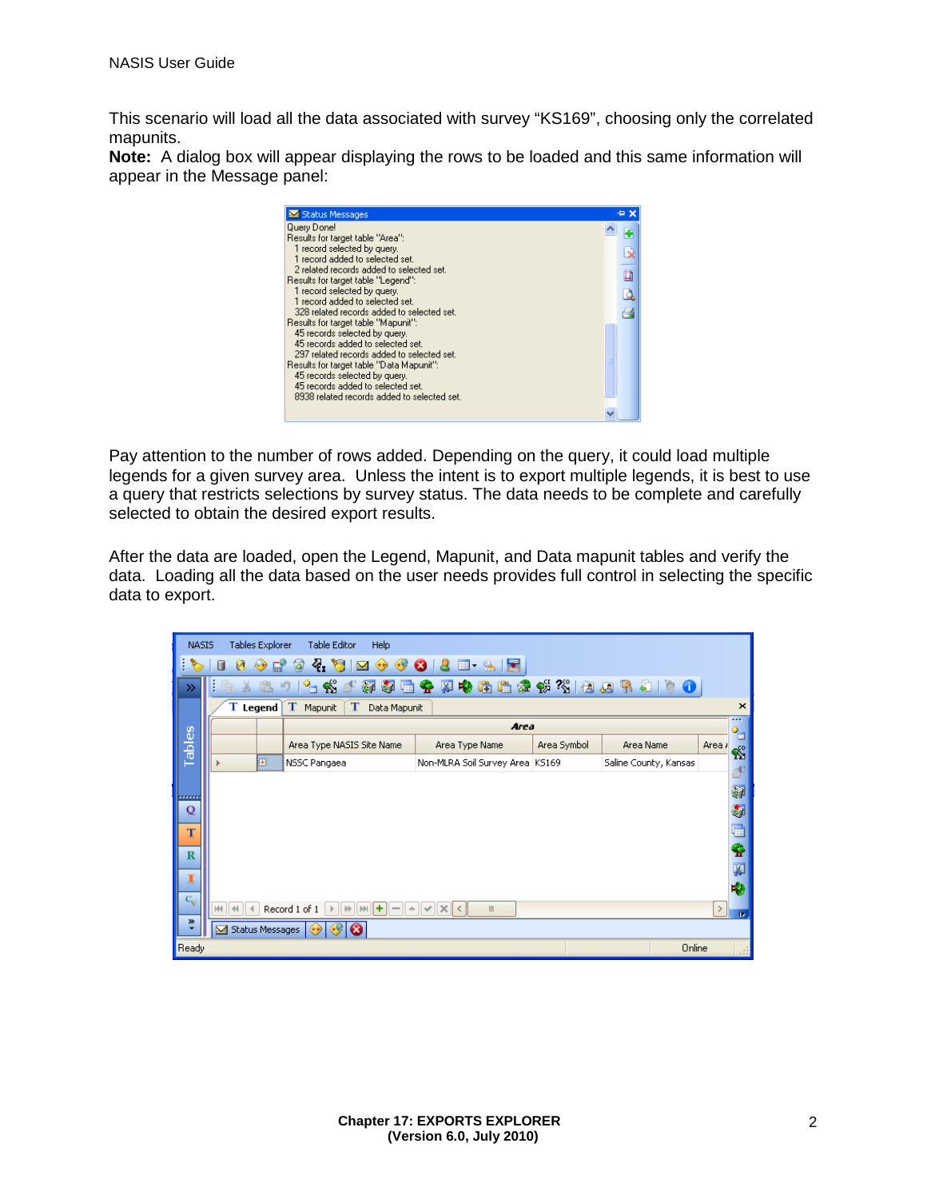This scenario will load all the data associated with survey "KS169", choosing only the correlated mapunits.

**Note:** A dialog box will appear displaying the rows to be loaded and this same information will appear in the Message panel:



Pay attention to the number of rows added. Depending on the query, it could load multiple legends for a given survey area. Unless the intent is to export multiple legends, it is best to use a query that restricts selections by survey status. The data needs to be complete and carefully selected to obtain the desired export results.

After the data are loaded, open the Legend, Mapunit, and Data mapunit tables and verify the data. Loading all the data based on the user needs provides full control in selecting the specific data to export.

|                                                                                                         | Tables Explorer<br><b>NASIS</b><br>Table Editor<br>Help                |            |   |                                    |                                        |             |                       |               |                                          |
|---------------------------------------------------------------------------------------------------------|------------------------------------------------------------------------|------------|---|------------------------------------|----------------------------------------|-------------|-----------------------|---------------|------------------------------------------|
| $Q_{\rm H}$<br>18.<br>E.<br>$\bullet$ $\bullet$<br>ಇ<br>$\mathbf{M}$ $\leftrightarrow$<br>E S<br>0<br>G |                                                                        |            |   |                                    |                                        |             |                       |               |                                          |
| ≫                                                                                                       | $^{\circ}$ N<br>@面像照像脂脂壶恢然 如如乳妇 》 0<br>羄<br>Yo.<br>唱<br>$\bullet$<br>B |            |   |                                    |                                        |             |                       |               |                                          |
|                                                                                                         |                                                                        | $T$ Legend |   | т<br>T<br>Mapunit<br>Data Mapunit  |                                        |             |                       |               | $\pmb{\times}$                           |
|                                                                                                         |                                                                        |            |   |                                    | <b>Area</b>                            |             |                       |               | $\overline{\phantom{a}}$<br>$\mathbf{B}$ |
| Tables                                                                                                  |                                                                        |            |   | Area Type NASIS Site Name          | Area Type Name                         | Area Symbol | Area Name             | Area /        | 肉                                        |
|                                                                                                         |                                                                        |            | 匣 | NSSC Pangaea                       | Non-MLRA Soil Survey Area KS169        |             | Saline County, Kansas |               |                                          |
|                                                                                                         |                                                                        |            |   |                                    |                                        |             |                       |               | P<br>嗣                                   |
| <b>STATISTICS</b><br>Q                                                                                  |                                                                        |            |   |                                    |                                        |             |                       |               | ¢                                        |
|                                                                                                         |                                                                        |            |   |                                    |                                        |             |                       |               |                                          |
| T                                                                                                       |                                                                        |            |   |                                    |                                        |             |                       |               | Ò                                        |
| $\mathbf R$                                                                                             |                                                                        |            |   |                                    |                                        |             |                       |               | ✿                                        |
| 1                                                                                                       |                                                                        |            |   |                                    |                                        |             |                       |               | ¥.                                       |
| $C_{\mathbf{V}}$                                                                                        |                                                                        |            |   |                                    |                                        |             |                       |               | ♦                                        |
|                                                                                                         |                                                                        |            |   | Record 1 of 1<br>÷<br>$\mathbb{N}$ | $\parallel \parallel$<br>$\times$<br>≺ |             |                       | $\rightarrow$ | n.                                       |
|                                                                                                         | »<br>Status Messages<br>☎                                              |            |   |                                    |                                        |             |                       |               |                                          |
|                                                                                                         | Online<br>Ready                                                        |            |   |                                    |                                        |             |                       |               |                                          |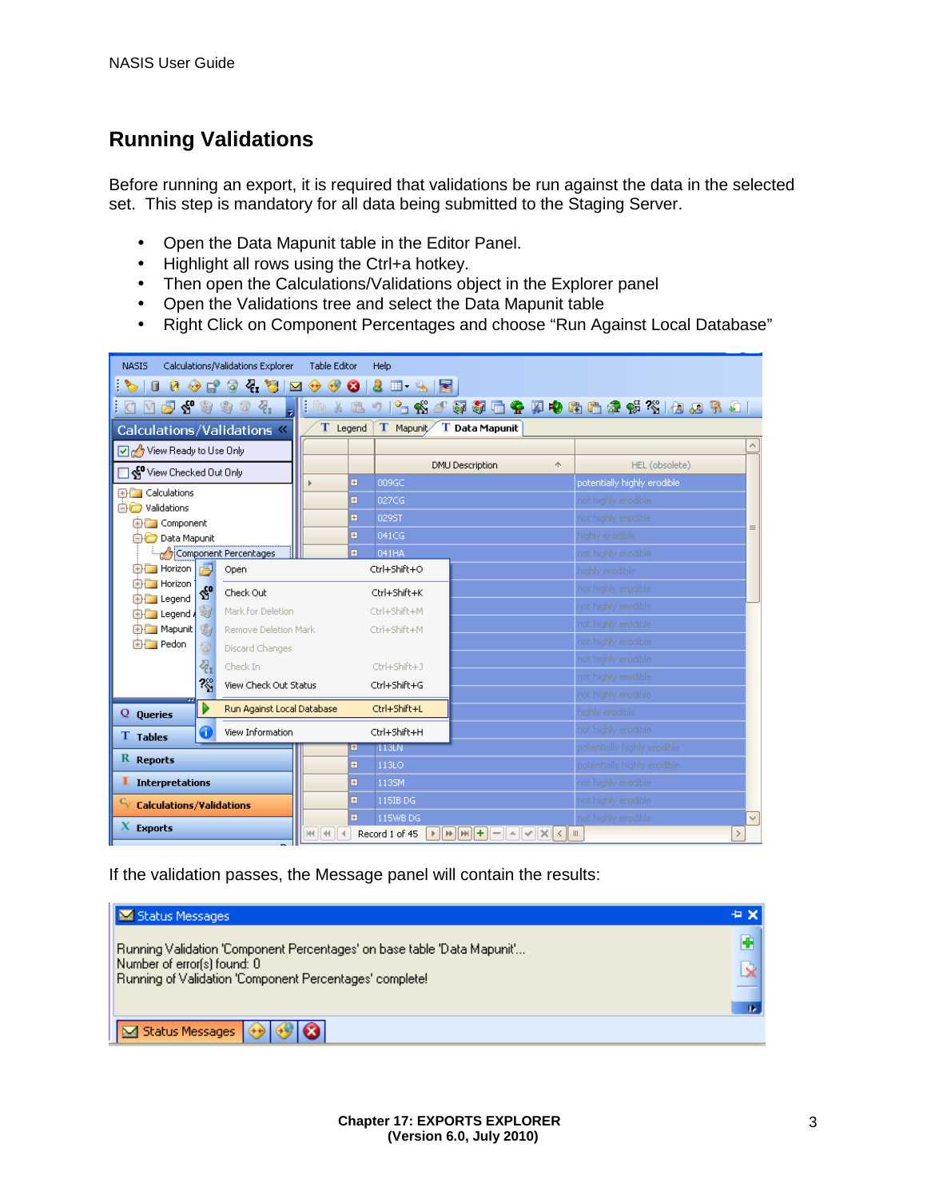### **Running Validations**

Before running an export, it is required that validations be run against the data in the selected set. This step is mandatory for all data being submitted to the Staging Server.

- Open the Data Mapunit table in the Editor Panel.  $\mathcal{L}^{\text{max}}$
- Highlight all rows using the Ctrl+a hotkey.
- Then open the Calculations/Validations object in the Explorer panel  $\mathcal{L}^{\pm}$
- Open the Validations tree and select the Data Mapunit table
- Right Click on Component Percentages and choose "Run Against Local Database"  $\mathcal{L}^{\pm}$

| Calculations/Validations Explorer<br>Table Editor<br><b>NASIS</b><br><b>Help</b> |                                                                                |                               |                                               |                                        |  |  |  |  |
|----------------------------------------------------------------------------------|--------------------------------------------------------------------------------|-------------------------------|-----------------------------------------------|----------------------------------------|--|--|--|--|
| O<br>Ø<br>O<br>秘                                                                 | ₹.<br>$2 \mathbb{E} \cdot \mathbb{S}$ $\mathbb{E}$<br>やま<br>ೞ<br>ď<br>$\alpha$ |                               |                                               |                                        |  |  |  |  |
| S O<br>M<br>内                                                                    | 寄<br>石<br>$\overline{\omega}$                                                  | Ę<br>$\frac{1}{26}$<br>唱<br>自 | り                                             | 4.俗小萍萍面令拜电陆曲条谈?\$ 他四名归                 |  |  |  |  |
| Calculations/Validations $\overline{\mathbf{x}}$                                 |                                                                                | T Legend                      | T Mapunit<br>T Data Mapunit                   |                                        |  |  |  |  |
| View Ready to Use Only                                                           |                                                                                |                               |                                               | $\land$                                |  |  |  |  |
| View Checked Out Only                                                            |                                                                                |                               | <b>DMU Description</b><br>木                   | HEL (obsolete)                         |  |  |  |  |
| <b>EHRICA</b> Calculations                                                       |                                                                                | Ð                             | 009GC                                         | potentially highly erodible            |  |  |  |  |
| <b>BO</b> Validations                                                            |                                                                                | Ð                             | 027CG                                         | not highly erodible                    |  |  |  |  |
| <b>A</b> Component                                                               |                                                                                | H                             | 0295T                                         | not highly erodible.<br>$\equiv$       |  |  |  |  |
| <b>Data Mapunit</b>                                                              |                                                                                | H                             | 041CG                                         | highly erodible                        |  |  |  |  |
| Component Percentages                                                            |                                                                                | Ð                             | 041HA                                         | not highly erodible                    |  |  |  |  |
| $\Box$ Horizon<br>r۳                                                             | Open                                                                           |                               | Ctrl+Shift+O                                  | highly erodible                        |  |  |  |  |
| <b>ER</b> Horizon<br>$\mathbb{S}^0$<br>由 Legend                                  | Check Out                                                                      |                               | Ctrl+Shift+K                                  | not highly erodible                    |  |  |  |  |
| 喻<br>由 <b>Legend</b>                                                             | Mark for Deletion                                                              |                               | Ctrl+Shift+M                                  | not highly erodible                    |  |  |  |  |
| <b>ED</b> Mapunit<br>霸                                                           | Remove Deletion Mark                                                           |                               | Ctrl+Shift+M                                  | not highly erodible                    |  |  |  |  |
| 由 <b>File</b> Pedon<br>$\circledR$                                               | Discard Changes                                                                |                               |                                               | not highly erodible                    |  |  |  |  |
| 忍                                                                                | Check In                                                                       |                               | Ctrl+Shift+J                                  | not highly erodible                    |  |  |  |  |
| $\sim$                                                                           | View Check Out Status                                                          |                               | Ctrl+Shift+G                                  | not highly erodible                    |  |  |  |  |
|                                                                                  |                                                                                |                               |                                               | not highly erodible                    |  |  |  |  |
| Q<br><b>Queries</b>                                                              | Run Against Local Database                                                     |                               | Ctrl+Shift+L                                  | highly erodible.                       |  |  |  |  |
| G<br>View Information<br><b>T</b> Tables                                         |                                                                                |                               | Ctrl+Shift+H                                  | not highly erodible                    |  |  |  |  |
|                                                                                  |                                                                                | E.                            | 113LN                                         | potentially highly erodible            |  |  |  |  |
| R Reports                                                                        |                                                                                | Ð                             | <b>113LO</b>                                  | potentially highly erodible            |  |  |  |  |
| <b>Interpretations</b><br>1.                                                     |                                                                                | 田                             | 1135M                                         | not highly erodible                    |  |  |  |  |
| <sup>C</sup> v Calculations/Validations                                          |                                                                                | Ð                             | 115IB DG                                      | not highly erodible                    |  |  |  |  |
| X.                                                                               |                                                                                | E                             | not highly erodible<br>115WB DG               |                                        |  |  |  |  |
| <b>Exports</b>                                                                   |                                                                                | $H = 4$                       | Record 1 of 45<br>$ H  H  H  +1$<br>$\langle$ | $\rightarrow$<br>$\parallel \parallel$ |  |  |  |  |

If the validation passes, the Message panel will contain the results:

| Status Messages                                                                        | ÷× |
|----------------------------------------------------------------------------------------|----|
| [Running Validation 'Component Percentages' on base table 'Data Mapunit'               |    |
| Number of error(s) found: 0<br>Running of Validation 'Component Percentages' complete! |    |
|                                                                                        | n. |
| Status Messages (++) (++) 3                                                            |    |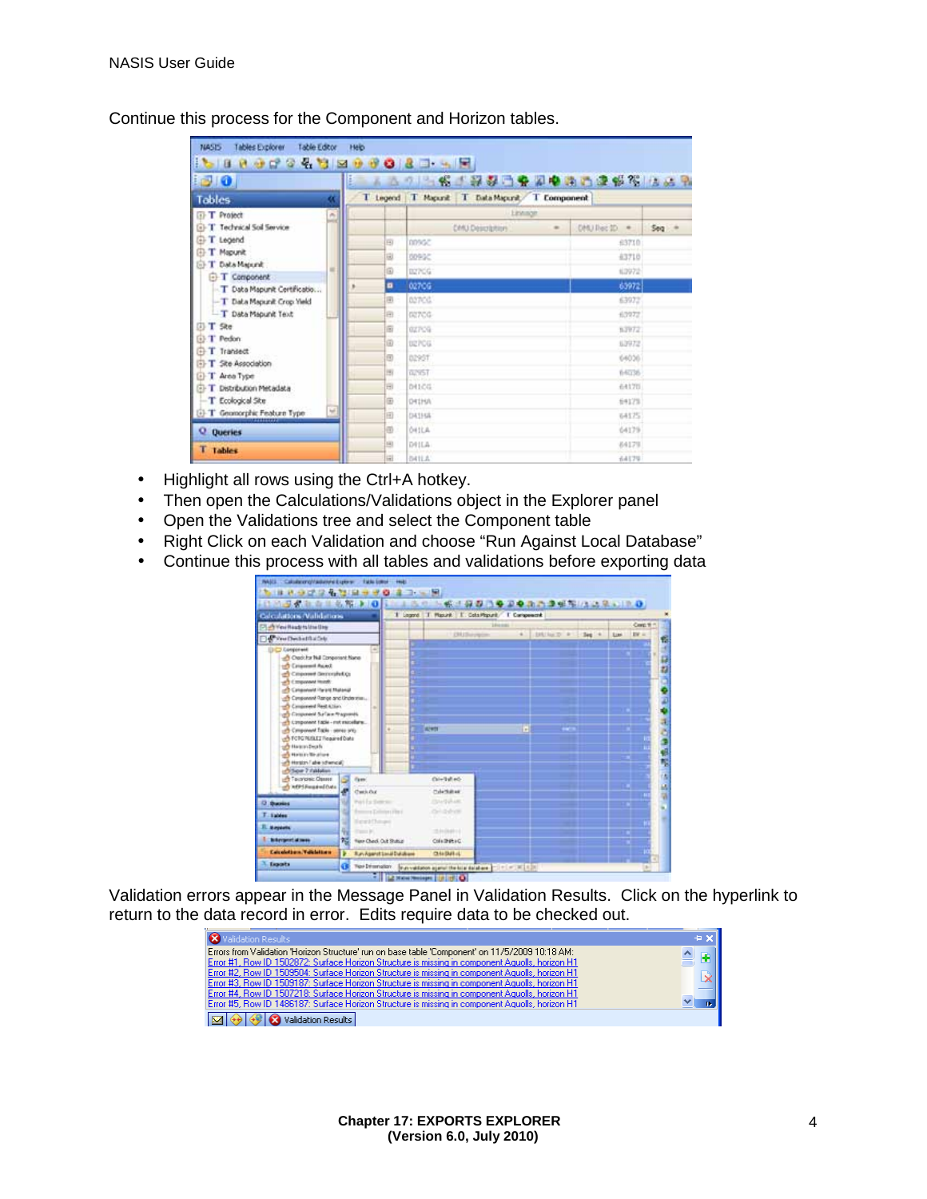Continue this process for the Component and Horizon tables.

| <b>BO</b>                                           |    | E<br>凸   | 2. 名人经经自安和电话的建设的 医远导                 |                   |                                     |                  |
|-----------------------------------------------------|----|----------|--------------------------------------|-------------------|-------------------------------------|------------------|
| <b>Tables</b>                                       | ĸ  | I Legend | T Magazit T Data Magazit T Component |                   |                                     |                  |
| <b>T</b> Project                                    | ö, |          |                                      | <b>Linking</b>    |                                     |                  |
| <b>GI-T</b> Technical Soil Service                  |    |          | <b>CMU Description</b>               | $\qquad \qquad =$ | DHU lies 10<br>$\ddot{\phantom{1}}$ | 500 <sup>o</sup> |
| T Legend                                            |    | Ð        | nnscr.                               |                   | 63710                               |                  |
| T Mapunit<br>ጩ                                      |    | 凬        | 00902                                |                   | 43718                               |                  |
| T Data Mapurat                                      |    | iii)     | BIZPOG                               |                   | 63972                               |                  |
| <b>E-T</b> Component                                |    | ٠        | 02706                                |                   | 63972                               |                  |
| T Data Mapunit Certificatio                         |    | 国        | 02700                                |                   | 63972                               |                  |
| -T Data Mapunit Crop Yield<br>- T Data Mapunit Text |    | a        |                                      |                   |                                     |                  |
| T Ske<br>m                                          |    |          | GE7CG                                |                   | 63972                               |                  |
| T Pedon                                             |    | 亩        | 02709                                |                   | 5,2972                              |                  |
| T Transect                                          |    | 面        | <b>BEFOG</b>                         |                   | 63972                               |                  |
| T Ske Association                                   |    | Đ        | 0295T                                |                   | 64036                               |                  |
| T Area Type                                         |    | iн       | 02957                                |                   | 64036                               |                  |
| T Distribution Metadata<br>G).                      |    | ΞI       | 04100                                |                   | 64170                               |                  |
| T Ecological Site                                   |    | Θ        | D41HA                                |                   | 64175                               |                  |
| <sup>(2)</sup> T Geomorphic Feature Type            |    | 団        | 043168                               |                   | 64175                               |                  |
| <b>Q</b> Queries                                    |    | a        | <b>OHILA</b>                         |                   | 64179                               |                  |
| T Tables                                            |    | 由        | DILA                                 |                   | 64179                               |                  |
|                                                     |    | Ħ        | DATLA                                |                   | 64179                               |                  |

- Highlight all rows using the Ctrl+A hotkey. L.
- Then open the Calculations/Validations object in the Explorer panel ÷.
- Open the Validations tree and select the Component table ä,
- Right Click on each Validation and choose "Run Against Local Database"  $\blacksquare$
- Continue this process with all tables and validations before exporting data L.



Validation errors appear in the Message Panel in Validation Results. Click on the hyperlink to return to the data record in error. Edits require data to be checked out.

| X Validation Results                                                                            | $+ \times$ |
|-------------------------------------------------------------------------------------------------|------------|
| Errors from Validation 'Horizon Structure' run on base table 'Component' on 11/5/2009 10:18 AM: |            |
| Error #1, Row ID 1502872: Surface Horizon Structure is missing in component Aguolls, horizon H1 |            |
| Error #2, Row ID 1509504: Surface Horizon Structure is missing in component Aguolls, horizon H1 |            |
| Error #3, Row ID 1509187: Surface Horizon Structure is missing in component Aguolls, horizon H1 | X.         |
| Error #4, Row ID 1507218: Surface Horizon Structure is missing in component Aguolls, horizon H1 |            |
| Error #5, Row ID 1486187: Surface Horizon Structure is missing in component Aguolls, horizon H1 |            |
| Validation Results                                                                              |            |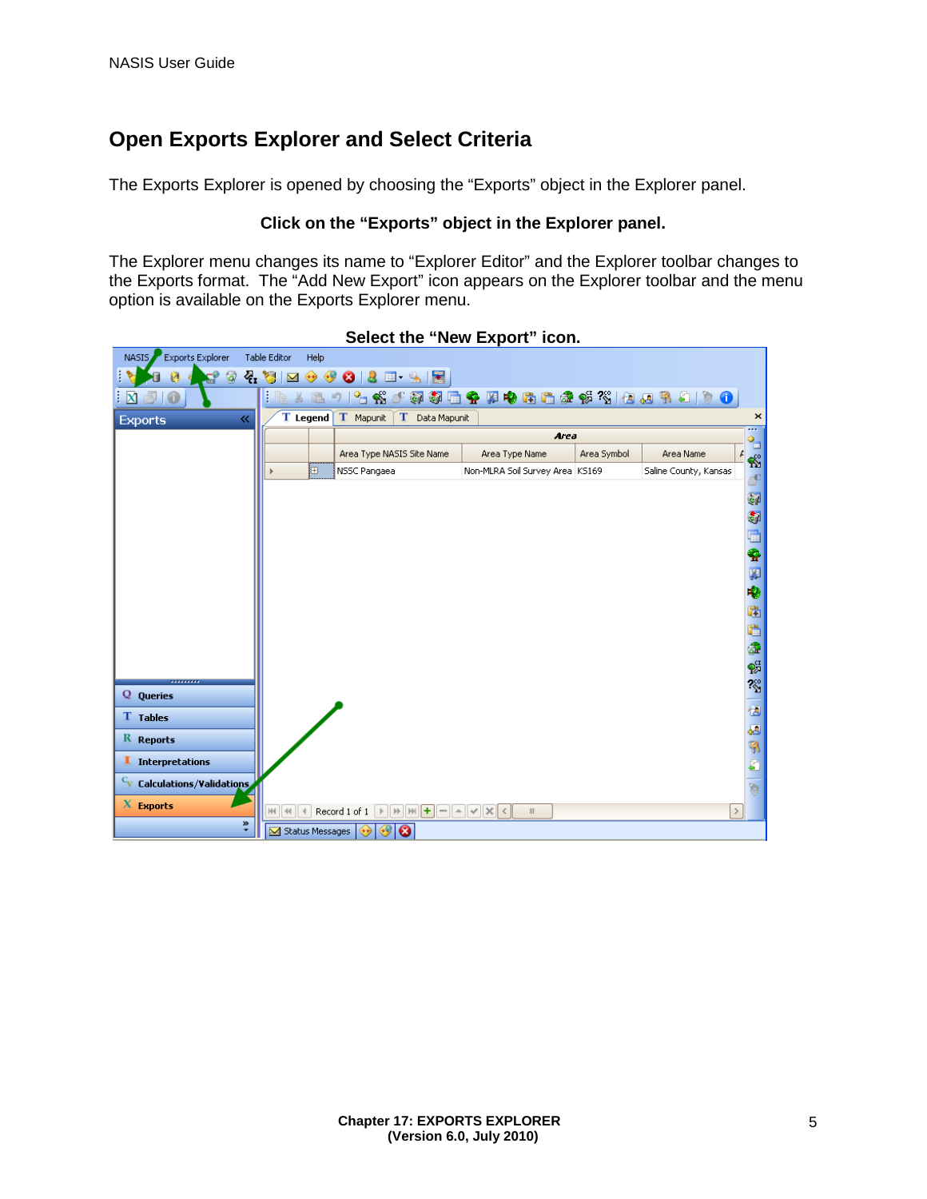### **Open Exports Explorer and Select Criteria**

The Exports Explorer is opened by choosing the "Exports" object in the Explorer panel.

#### **Click on the "Exports" object in the Explorer panel.**

The Explorer menu changes its name to "Explorer Editor" and the Explorer toolbar changes to the Exports format. The "Add New Export" icon appears on the Explorer toolbar and the menu option is available on the Exports Explorer menu.



**Select the "New Export" icon.**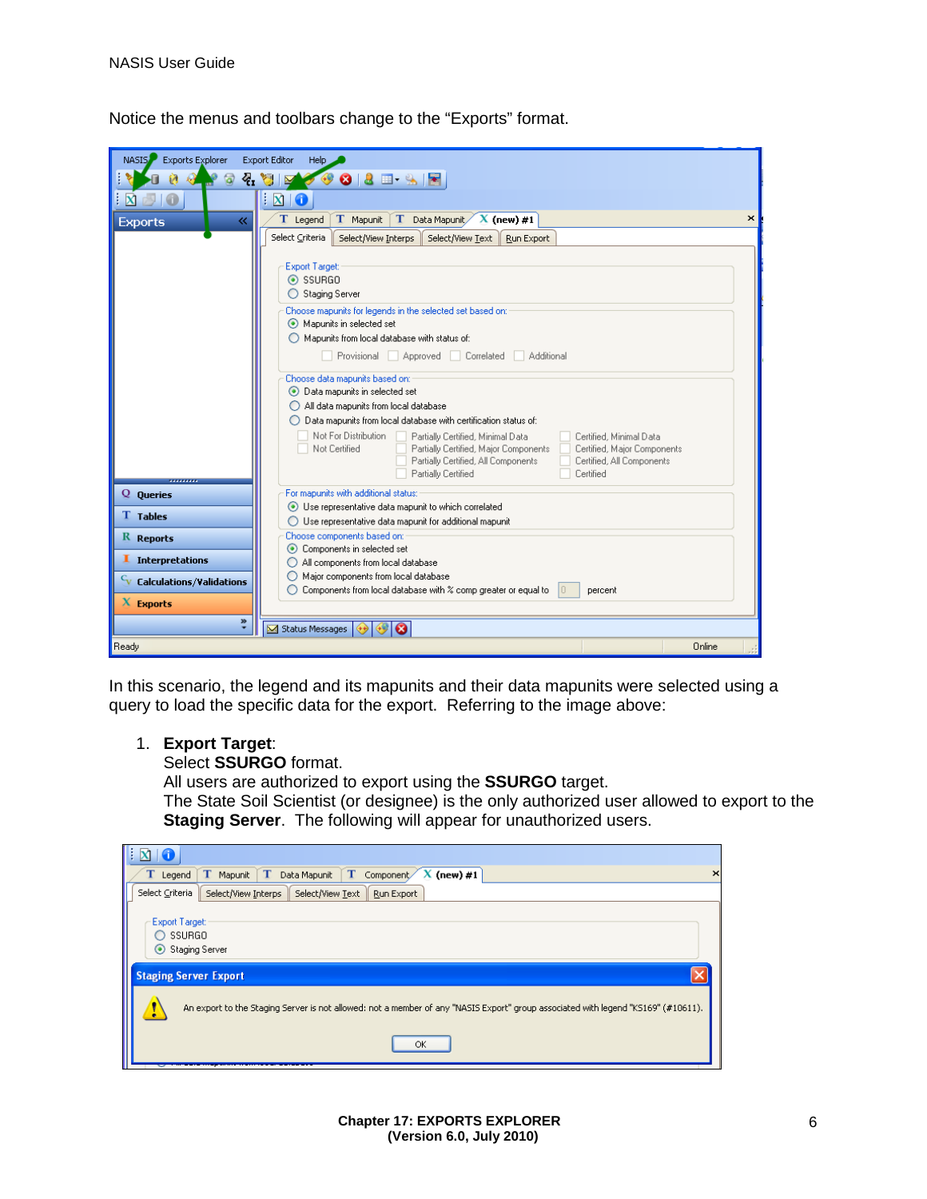| Exports Explorer<br>NASIS.                                   | <b>Export Editor</b><br>Help                                                                                      |
|--------------------------------------------------------------|-------------------------------------------------------------------------------------------------------------------|
| ø                                                            | $\bullet \bullet \bullet \bullet \bullet \bullet$                                                                 |
| $\circ$                                                      | $\mathbb{Z}$ and                                                                                                  |
|                                                              | $\mathbf{X}$<br>O                                                                                                 |
| 《<br><b>Exports</b>                                          | T Mapunit<br>T Data Mapunit $X$ (new) #1<br>T Legend<br>×                                                         |
|                                                              | Select Criteria<br>Select/View Interps<br>Select/View Text<br>Run Export                                          |
|                                                              |                                                                                                                   |
|                                                              | <b>Export Target:</b><br>$\odot$ SSURGO                                                                           |
|                                                              | ◯ Staging Server                                                                                                  |
|                                                              | Choose mapunits for legends in the selected set based on:                                                         |
|                                                              | Mapunits in selected set                                                                                          |
|                                                              | $\bigcirc$ Mapunits from local database with status of:                                                           |
|                                                              | Provisional Approved Correlated Additional                                                                        |
|                                                              | Choose data mapunits based on:                                                                                    |
|                                                              | ● Data mapunits in selected set                                                                                   |
|                                                              | All data mapunits from local database                                                                             |
|                                                              | ◯ Data mapunits from local database with certification status of:                                                 |
|                                                              | Not For Distribution<br>Certified, Minimal Data<br>Partially Certified, Minimal Data                              |
|                                                              | Not Certified<br>Partially Certified, Major Components<br>Certified, Major Components                             |
|                                                              | Partially Certified, All Components<br>Certified, All Components<br>Partially Certified<br>Certified              |
| ,,,,,,,,                                                     | For mapunits with additional status:                                                                              |
| Q Queries                                                    | Use representative data mapunit to which correlated                                                               |
| <b>T</b> Tables                                              | $\bigcirc$ Use representative data mapunit for additional mapunit                                                 |
| $R$ Reports                                                  | Choose components based on:                                                                                       |
|                                                              | • Components in selected set                                                                                      |
| I Interpretations                                            | All components from local database                                                                                |
| $\mathbf{c}_{\mathbf{v}}$<br><b>Calculations/Validations</b> | Major components from local database<br>Components from local database with % comp greater or equal to<br>percent |
| $X$ Exports                                                  |                                                                                                                   |
| $\ddot{\tilde{}}$                                            |                                                                                                                   |
|                                                              | Status Messages                                                                                                   |
| Ready                                                        | Online                                                                                                            |

Notice the menus and toolbars change to the "Exports" format.

In this scenario, the legend and its mapunits and their data mapunits were selected using a query to load the specific data for the export. Referring to the image above:

#### 1. **Export Target**:

Select **SSURGO** format.

All users are authorized to export using the **SSURGO** target.

The State Soil Scientist (or designee) is the only authorized user allowed to export to the **Staging Server**. The following will appear for unauthorized users.

| TE.                                                                                                                               |  |  |  |  |  |  |
|-----------------------------------------------------------------------------------------------------------------------------------|--|--|--|--|--|--|
| $\mathbf T$<br>T<br>$\mathbf T$<br>$X$ (new) #1<br>Mapunit<br>Data Mapunit<br>Component<br>$\mathbf T$ Legend<br>$\times$         |  |  |  |  |  |  |
| Select Criteria<br>Select/View Text<br>Select/View Interps<br>Run Export                                                          |  |  |  |  |  |  |
| <b>Export Target:</b><br>SSURGO<br>Staging Server<br><b>Staging Server Export</b>                                                 |  |  |  |  |  |  |
| An export to the Staging Server is not allowed: not a member of any "NASIS Export" group associated with legend "KS169" (#10611). |  |  |  |  |  |  |
| ОК                                                                                                                                |  |  |  |  |  |  |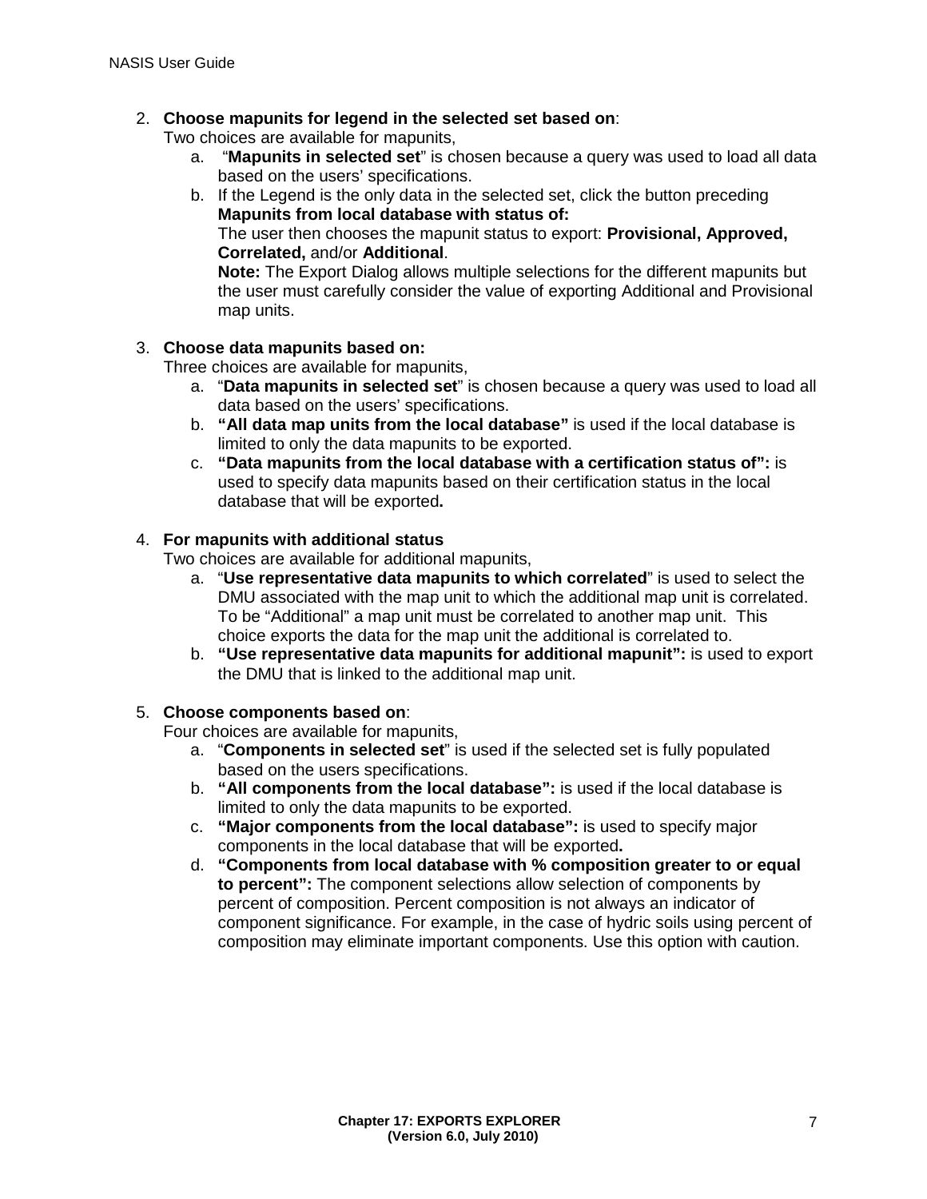### 2. **Choose mapunits for legend in the selected set based on**:

Two choices are available for mapunits,

- a. "**Mapunits in selected set**" is chosen because a query was used to load all data based on the users' specifications.
- b. If the Legend is the only data in the selected set, click the button preceding **Mapunits from local database with status of:**

The user then chooses the mapunit status to export: **Provisional, Approved, Correlated,** and/or **Additional**.

**Note:** The Export Dialog allows multiple selections for the different mapunits but the user must carefully consider the value of exporting Additional and Provisional map units.

#### 3. **Choose data mapunits based on:**

Three choices are available for mapunits,

- a. "**Data mapunits in selected set**" is chosen because a query was used to load all data based on the users' specifications.
- b. **"All data map units from the local database"** is used if the local database is limited to only the data mapunits to be exported.
- c. **"Data mapunits from the local database with a certification status of":** is used to specify data mapunits based on their certification status in the local database that will be exported**.**

#### 4. **For mapunits with additional status**

Two choices are available for additional mapunits,

- a. "**Use representative data mapunits to which correlated**" is used to select the DMU associated with the map unit to which the additional map unit is correlated. To be "Additional" a map unit must be correlated to another map unit. This choice exports the data for the map unit the additional is correlated to.
- b. **"Use representative data mapunits for additional mapunit":** is used to export the DMU that is linked to the additional map unit.

#### 5. **Choose components based on**:

Four choices are available for mapunits,

- a. "**Components in selected set**" is used if the selected set is fully populated based on the users specifications.
- b. **"All components from the local database":** is used if the local database is limited to only the data mapunits to be exported.
- c. **"Major components from the local database":** is used to specify major components in the local database that will be exported**.**
- d. **"Components from local database with % composition greater to or equal to percent":** The component selections allow selection of components by percent of composition. Percent composition is not always an indicator of component significance. For example, in the case of hydric soils using percent of composition may eliminate important components. Use this option with caution.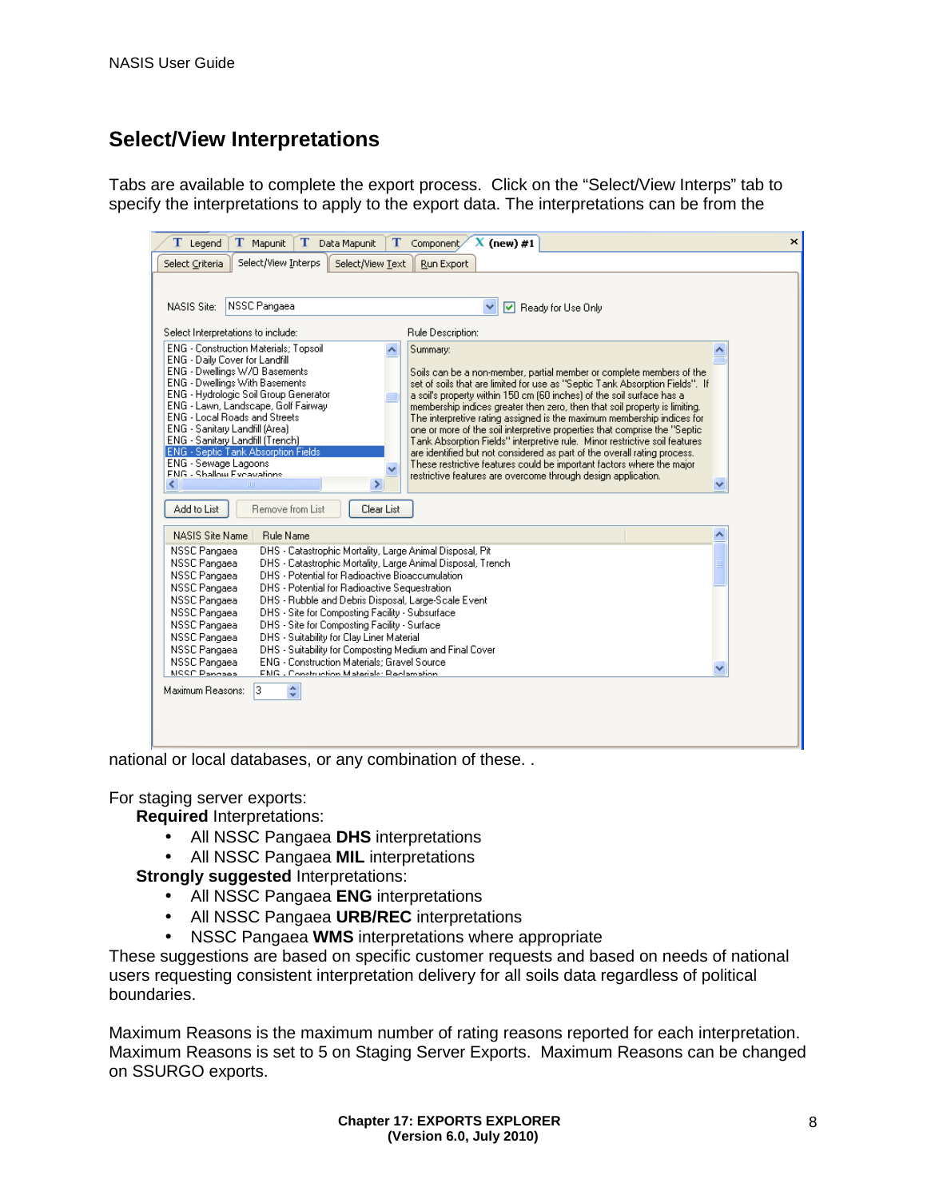### **Select/View Interpretations**

Tabs are available to complete the export process. Click on the "Select/View Interps" tab to specify the interpretations to apply to the export data. The interpretations can be from the

| T<br>$X$ (new) #1<br>T Legend<br>T Mapunit<br>Data Mapunit<br>т<br>Component                                                                                                                                                                                                                                                                                                                                                                                                                                                                                                                                                                                                                                                                                                                                                                                                                                                                                                                                                                                                                                                                                                                                                                                                                                                       | × |  |  |  |  |  |  |
|------------------------------------------------------------------------------------------------------------------------------------------------------------------------------------------------------------------------------------------------------------------------------------------------------------------------------------------------------------------------------------------------------------------------------------------------------------------------------------------------------------------------------------------------------------------------------------------------------------------------------------------------------------------------------------------------------------------------------------------------------------------------------------------------------------------------------------------------------------------------------------------------------------------------------------------------------------------------------------------------------------------------------------------------------------------------------------------------------------------------------------------------------------------------------------------------------------------------------------------------------------------------------------------------------------------------------------|---|--|--|--|--|--|--|
| Select/View Interps<br>Select/View Text<br>Run Export<br>Select Criteria                                                                                                                                                                                                                                                                                                                                                                                                                                                                                                                                                                                                                                                                                                                                                                                                                                                                                                                                                                                                                                                                                                                                                                                                                                                           |   |  |  |  |  |  |  |
| NSSC Pangaea<br>NASIS Site:<br>Ready for Use Only<br>Select Interpretations to include:<br>Rule Description:                                                                                                                                                                                                                                                                                                                                                                                                                                                                                                                                                                                                                                                                                                                                                                                                                                                                                                                                                                                                                                                                                                                                                                                                                       |   |  |  |  |  |  |  |
| <b>ENG</b> - Construction Materials: Topsoil<br>ㅅ<br>Summary:<br>ENG - Daily Cover for Landfill<br>ENG - Dwellings W/O Basements<br>Soils can be a non-member, partial member or complete members of the<br><b>ENG - Dwellings With Basements</b><br>set of soils that are limited for use as "Septic Tank Absorption Fields". If<br>ENG - Hydrologic Soil Group Generator<br>a soil's property within 150 cm (60 inches) of the soil surface has a<br>ENG - Lawn, Landscape, Golf Fairway<br>membership indices greater then zero, then that soil property is limiting.<br><b>ENG</b> - Local Roads and Streets<br>The interpretive rating assigned is the maximum membership indices for<br>ENG - Sanitary Landfill (Area)<br>one or more of the soil interpretive properties that comprise the "Septic"<br>ENG - Sanitary Landfill (Trench)<br>Tank Absorption Fields" interpretive rule. Minor restrictive soil features<br><b>ENG</b> - Septic Tank Absorption Fields<br>are identified but not considered as part of the overall rating process.<br>ENG - Sewage Lagoons<br>These restrictive features could be important factors where the major<br>$\checkmark$<br><b>FNG - Shallow Eveavations</b><br>restrictive features are overcome through design application.<br>×<br>Add to List<br>Remove from List<br>Clear List |   |  |  |  |  |  |  |
| <b>NASIS Site Name</b><br><b>Rule Name</b>                                                                                                                                                                                                                                                                                                                                                                                                                                                                                                                                                                                                                                                                                                                                                                                                                                                                                                                                                                                                                                                                                                                                                                                                                                                                                         |   |  |  |  |  |  |  |
| NSSC Pangaea<br>DHS - Catastrophic Mortality, Large Animal Disposal, Pit<br>DHS - Catastrophic Mortality, Large Animal Disposal, Trench<br>NSSC Pangaea<br>DHS - Potential for Radioactive Bioaccumulation<br>NSSC Pangaea                                                                                                                                                                                                                                                                                                                                                                                                                                                                                                                                                                                                                                                                                                                                                                                                                                                                                                                                                                                                                                                                                                         |   |  |  |  |  |  |  |
| NSSC Pangaea<br>DHS - Potential for Radioactive Sequestration<br>DHS - Rubble and Debris Disposal, Large-Scale Event<br>NSSC Pangaea<br>NSSC Pangaea<br>DHS - Site for Composting Facility - Subsurface<br>DHS - Site for Composting Facility - Surface<br>NSSC Pangaea<br>NSSC Pangaea<br>DHS - Suitability for Clay Liner Material<br>DHS - Suitability for Composting Medium and Final Cover<br>NSSC Pangaea<br>NSSC Pangaea<br><b>ENG</b> - Construction Materials: Gravel Source<br><b>NSSC Pangage</b><br>ENG - Construction Materials: Reclamation                                                                                                                                                                                                                                                                                                                                                                                                                                                                                                                                                                                                                                                                                                                                                                          |   |  |  |  |  |  |  |
| ÷<br>Maximum Reasons:<br>13.                                                                                                                                                                                                                                                                                                                                                                                                                                                                                                                                                                                                                                                                                                                                                                                                                                                                                                                                                                                                                                                                                                                                                                                                                                                                                                       |   |  |  |  |  |  |  |

national or local databases, or any combination of these. .

For staging server exports:

**Required** Interpretations:

- All NSSC Pangaea **DHS** interpretations  $\mathcal{L}^{\mathcal{L}}$
- All NSSC Pangaea **MIL** interpretations

**Strongly suggested** Interpretations:

- All NSSC Pangaea **ENG** interpretations
- All NSSC Pangaea **URB/REC** interpretations  $\mathcal{L}^{\mathcal{L}}$
- t. NSSC Pangaea **WMS** interpretations where appropriate

These suggestions are based on specific customer requests and based on needs of national users requesting consistent interpretation delivery for all soils data regardless of political boundaries.

Maximum Reasons is the maximum number of rating reasons reported for each interpretation. Maximum Reasons is set to 5 on Staging Server Exports. Maximum Reasons can be changed on SSURGO exports.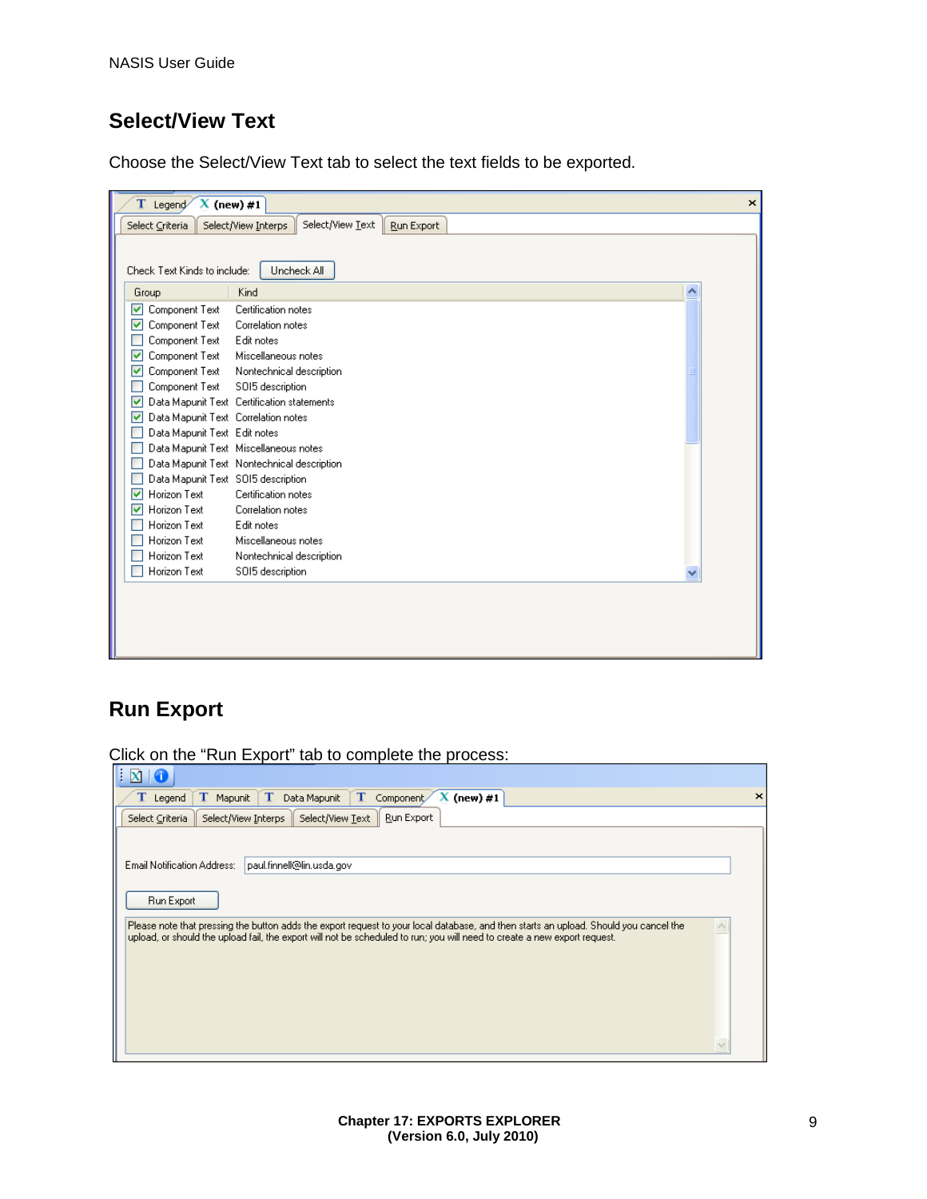### **Select/View Text**

Choose the Select/View Text tab to select the text fields to be exported.

| Legend/<br>т                             | $X$ (new) #1<br>×                                     |
|------------------------------------------|-------------------------------------------------------|
| Select Criteria                          | Select/View Text<br>Run Export<br>Select/View Interps |
|                                          |                                                       |
| Check Text Kinds to include:             | Uncheck All                                           |
|                                          |                                                       |
| Group                                    | Kind<br>∧                                             |
| Component Text<br>▿                      | Certification notes                                   |
| Component Text<br>M                      | Correlation notes                                     |
| Component Text                           | Edit notes                                            |
| Component Text<br>M                      | Miscellaneous notes                                   |
| Component Text<br>⊽                      | Nontechnical description                              |
| Component Text                           | SOI5 description                                      |
| M                                        | Data Mapunit Text Certification statements            |
| Data Mapunit Text Correlation notes<br>⊽ |                                                       |
| Data Mapunit Text Edit notes             |                                                       |
|                                          | Data Mapunit Text Miscellaneous notes                 |
|                                          | Data Mapunit Text Nontechnical description            |
| Data Mapunit Text SOI5 description       |                                                       |
| Horizon Text<br>▿                        | Certification notes                                   |
| Horizon Text<br>M                        | Correlation notes                                     |
| Horizon Text                             | Edit notes                                            |
| Horizon Text                             | Miscellaneous notes                                   |
| Horizon Text                             | Nontechnical description                              |
| Horizon Text                             | SOI5 description                                      |
|                                          |                                                       |
|                                          |                                                       |
|                                          |                                                       |
|                                          |                                                       |
|                                          |                                                       |

### **Run Export**

Click on the "Run Export" tab to complete the process:

| $\propto$                                                                                                                                                                                                                                                          |                       |
|--------------------------------------------------------------------------------------------------------------------------------------------------------------------------------------------------------------------------------------------------------------------|-----------------------|
| T<br>T<br>T<br>$(new)$ #1<br>Component<br>T.<br>Data Mapunit<br>Legend<br>Mapunit                                                                                                                                                                                  | $\boldsymbol{\times}$ |
| Run Export<br>Select/View Text<br>Select Criteria<br>Select/View Interps                                                                                                                                                                                           |                       |
|                                                                                                                                                                                                                                                                    |                       |
| Email Notification Address:<br>paul.finnell@lin.usda.gov                                                                                                                                                                                                           |                       |
|                                                                                                                                                                                                                                                                    |                       |
| Run Export                                                                                                                                                                                                                                                         |                       |
| Please note that pressing the button adds the export request to your local database, and then starts an upload. Should you cancel the<br>upload, or should the upload fail, the export will not be scheduled to run; you will need to create a new export request. |                       |
|                                                                                                                                                                                                                                                                    |                       |
|                                                                                                                                                                                                                                                                    |                       |
|                                                                                                                                                                                                                                                                    |                       |
|                                                                                                                                                                                                                                                                    |                       |
|                                                                                                                                                                                                                                                                    |                       |
|                                                                                                                                                                                                                                                                    |                       |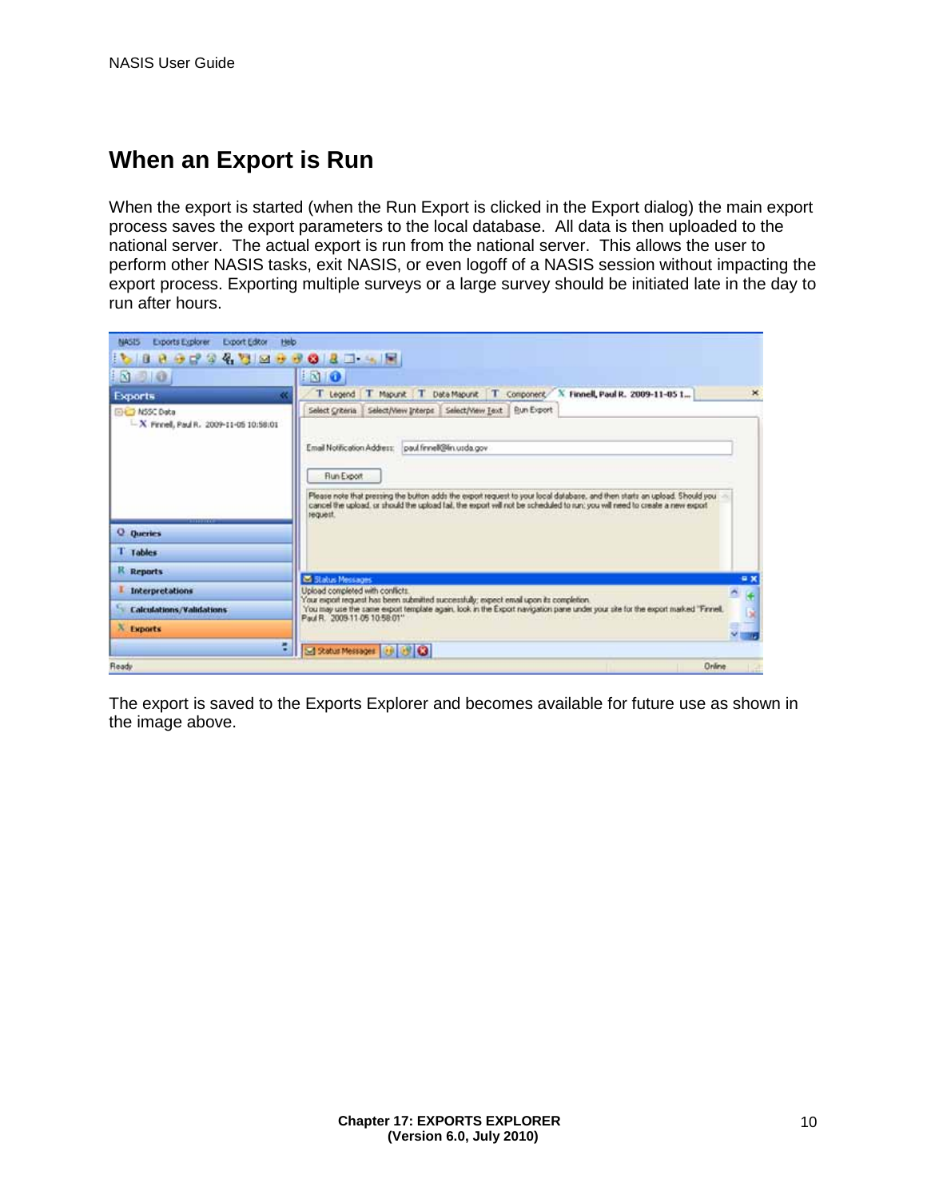## **When an Export is Run**

When the export is started (when the Run Export is clicked in the Export dialog) the main export process saves the export parameters to the local database. All data is then uploaded to the national server. The actual export is run from the national server. This allows the user to perform other NASIS tasks, exit NASIS, or even logoff of a NASIS session without impacting the export process. Exporting multiple surveys or a large survey should be initiated late in the day to run after hours.

| N                                                                 | 100                                                                                                                                                                                                                                                                                 |
|-------------------------------------------------------------------|-------------------------------------------------------------------------------------------------------------------------------------------------------------------------------------------------------------------------------------------------------------------------------------|
| Exports<br>æ                                                      | $\mathbf{x}$<br>T Legend   T Mapunk   T Data Mapunk   T Component / X Finnell, Paul R. 2009-11-05 1                                                                                                                                                                                 |
| <b>EHET NSSC Data</b><br>$-X$ Finnel, Paul R. 2009-11-05 10:58:01 | Select Criteria   Select/View Interpr   Select/View Text   Bun Export<br>Email Notification Address: paul finnel@lin.usda.gov                                                                                                                                                       |
|                                                                   | Flun Export<br>Please note that pressing the button adds the export request to your local database, and then starts an upload. Should you<br>cancel the upload, or should the upload (a), the export will not be scheduled to run; you will need to create a new export<br>request. |
|                                                                   |                                                                                                                                                                                                                                                                                     |
| <b>Q</b> Queries                                                  |                                                                                                                                                                                                                                                                                     |
| T Tables                                                          |                                                                                                                                                                                                                                                                                     |
| R Reports                                                         |                                                                                                                                                                                                                                                                                     |
| Interpretations                                                   | <b>Co Status Messages</b><br>e x<br>Upload completed with conflicts.                                                                                                                                                                                                                |
| <b>Calculations/Validations</b>                                   | $\frac{1}{2}$<br>Your export request has been submitted successfully; expect email upon its completion.<br>You may use the same export template again, look in the Export navigation pane under your site for the export marked "Finnell,<br>b,                                     |
| X Exports                                                         | Paul R. 2009-11-05 10:58:01"                                                                                                                                                                                                                                                        |

The export is saved to the Exports Explorer and becomes available for future use as shown in the image above.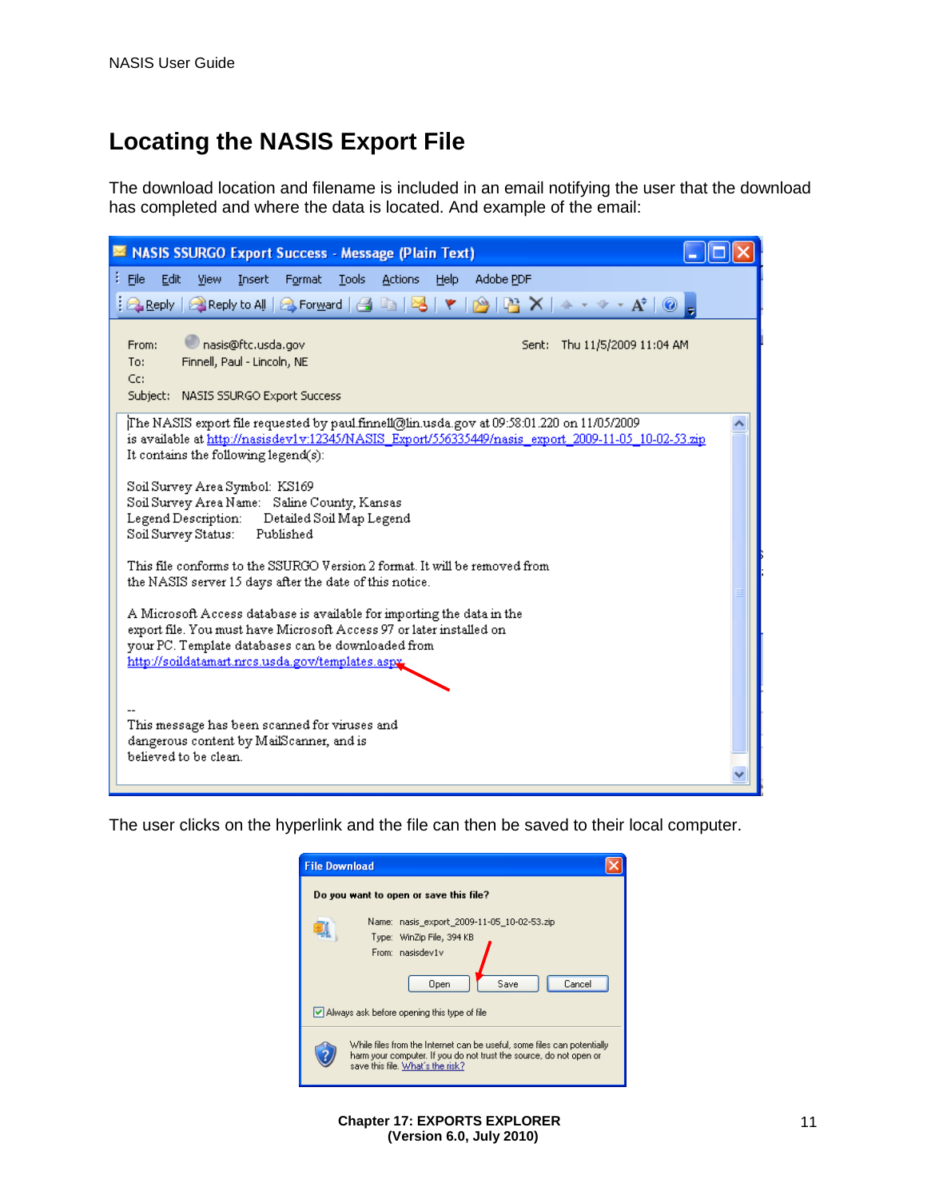# **Locating the NASIS Export File**

The download location and filename is included in an email notifying the user that the download has completed and where the data is located. And example of the email:

| <b>NASIS SSURGO Export Success - Message (Plain Text)</b>                                                                                                                                                                                                                                                                                                                                                              |  |
|------------------------------------------------------------------------------------------------------------------------------------------------------------------------------------------------------------------------------------------------------------------------------------------------------------------------------------------------------------------------------------------------------------------------|--|
| Adobe PDF<br><b>Tools</b><br><b>File</b><br>Edit<br>View<br>Insert<br>Format<br><b>Actions</b><br>Help<br>$\mathbb{R}$<br>  2 Reply   2 Reply to All   2 Forward   台 白   2  <br>Y                                                                                                                                                                                                                                      |  |
| nasis@ftc.usda.gov<br>From:<br>Sent: Thu 11/5/2009 11:04 AM<br>Finnell, Paul - Lincoln, NE<br>To:<br>Cc:<br>Subject: NASIS SSURGO Export Success                                                                                                                                                                                                                                                                       |  |
| (11/05/2009) The NASIS export file requested by paul.finnell@lin.usda.gov at 09:58:01 [17] The NASIS<br>is available at http://nasisdev1v:12345/NASIS_Export/556335449/nasis_export_2009-11-05_10-02-53.zip<br>It contains the following legend(s):<br>Soil Survey Area Symbol: KS169<br>Soil Survey Area Name: Saline County, Kansas<br>Legend Description: Detailed Soil Map Legend<br>Soil Survey Status: Published |  |
| This file conforms to the SSURGO Version 2 format. It will be removed from<br>the NASIS server 15 days after the date of this notice.                                                                                                                                                                                                                                                                                  |  |
| A Microsoft Access database is available for importing the data in the<br>export file. You must have Microsoft Access 97 or later installed on<br>your PC. Template databases can be downloaded from<br>http://soildatamart.nrcs.usda.gov/templates.aspx                                                                                                                                                               |  |
| This message has been scanned for viruses and<br>dangerous content by MailScanner, and is<br>believed to be clean.                                                                                                                                                                                                                                                                                                     |  |

The user clicks on the hyperlink and the file can then be saved to their local computer.

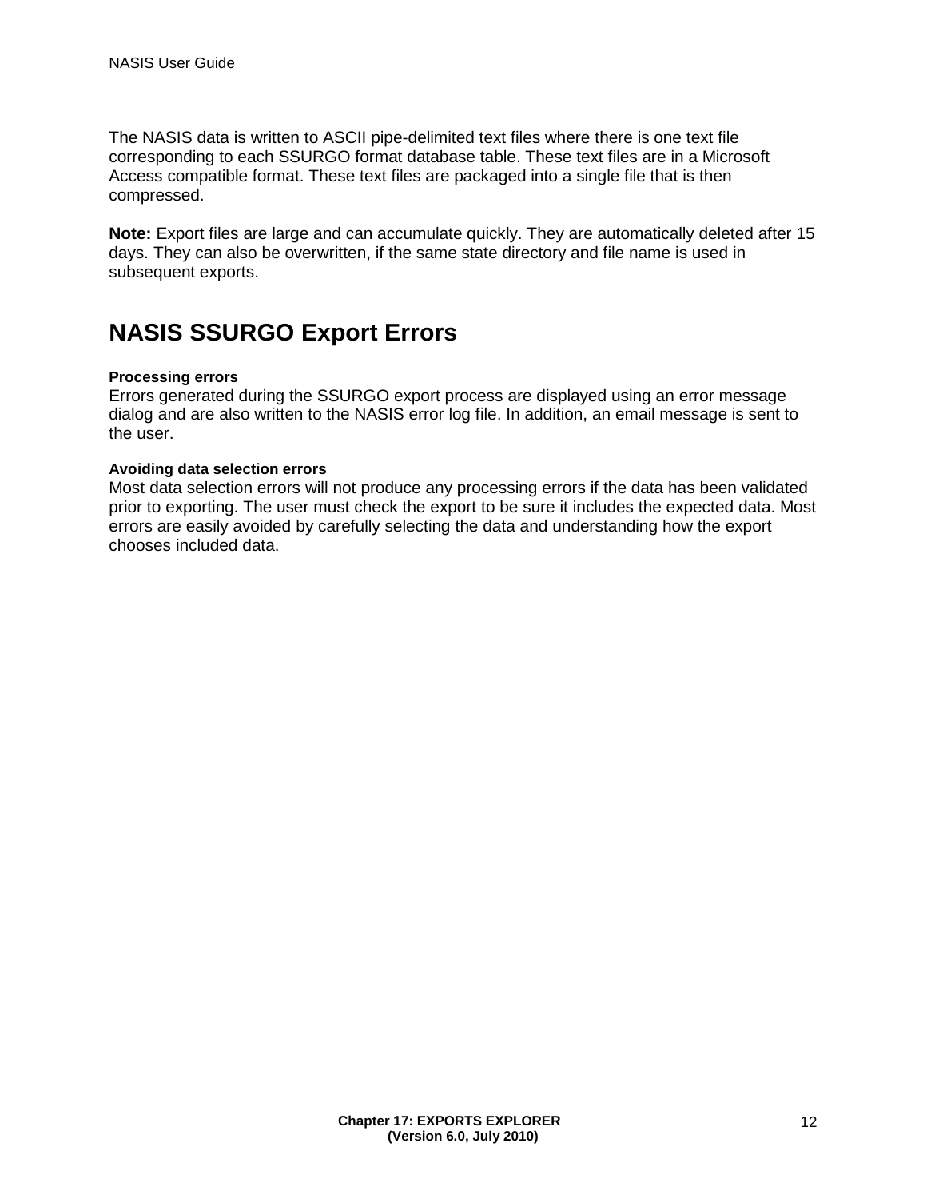The NASIS data is written to ASCII pipe-delimited text files where there is one text file corresponding to each SSURGO format database table. These text files are in a Microsoft Access compatible format. These text files are packaged into a single file that is then compressed.

**Note:** Export files are large and can accumulate quickly. They are automatically deleted after 15 days. They can also be overwritten, if the same state directory and file name is used in subsequent exports.

# **NASIS SSURGO Export Errors**

#### **Processing errors**

Errors generated during the SSURGO export process are displayed using an error message dialog and are also written to the NASIS error log file. In addition, an email message is sent to the user.

#### **Avoiding data selection errors**

Most data selection errors will not produce any processing errors if the data has been validated prior to exporting. The user must check the export to be sure it includes the expected data. Most errors are easily avoided by carefully selecting the data and understanding how the export chooses included data.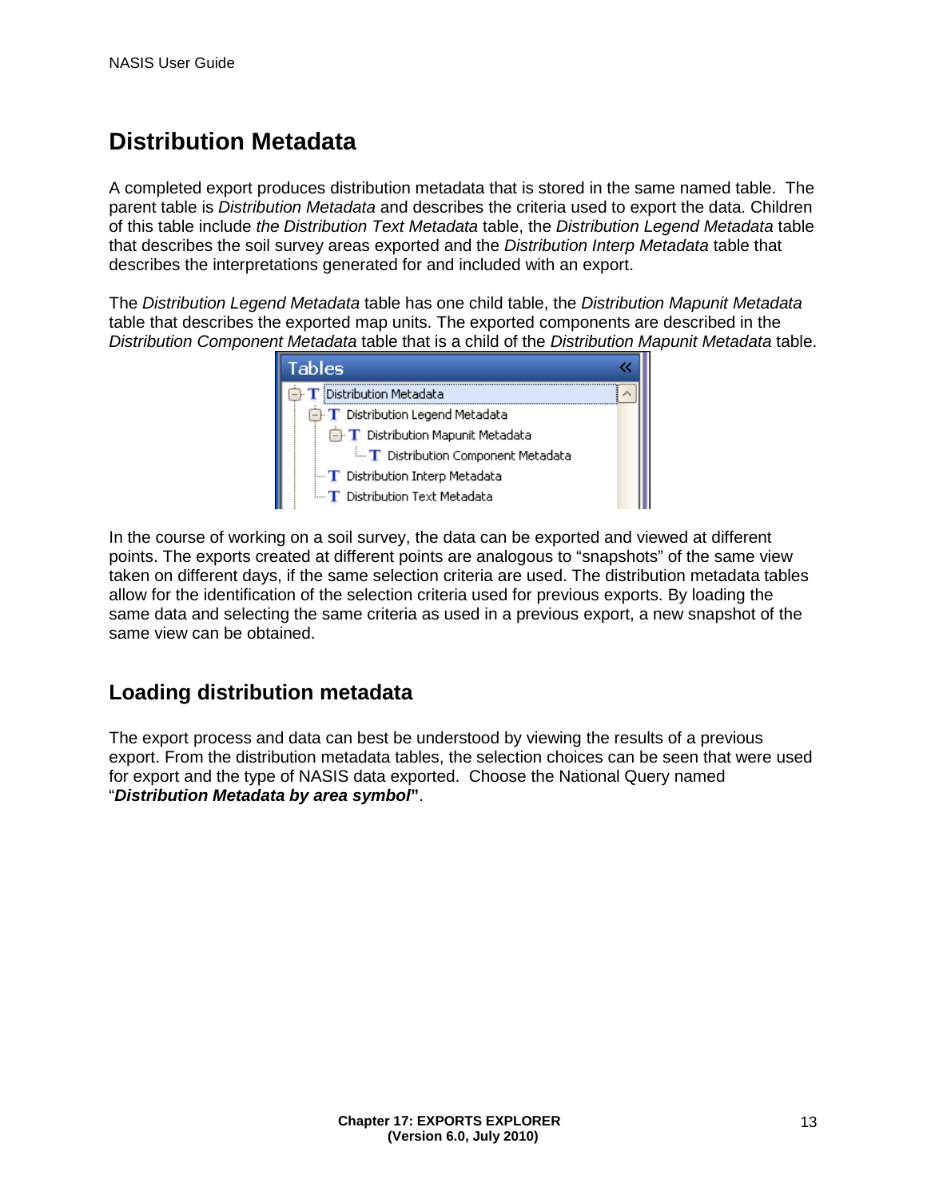# **Distribution Metadata**

A completed export produces distribution metadata that is stored in the same named table. The parent table is *Distribution Metadata* and describes the criteria used to export the data. Children of this table include *the Distribution Text Metadata* table, the *Distribution Legend Metadata* table that describes the soil survey areas exported and the *Distribution Interp Metadata* table that describes the interpretations generated for and included with an export.

The *Distribution Legend Metadata* table has one child table, the *Distribution Mapunit Metadata*  table that describes the exported map units. The exported components are described in the *Distribution Component Metadata* table that is a child of the *Distribution Mapunit Metadata* table.



In the course of working on a soil survey, the data can be exported and viewed at different points. The exports created at different points are analogous to "snapshots" of the same view taken on different days, if the same selection criteria are used. The distribution metadata tables allow for the identification of the selection criteria used for previous exports. By loading the same data and selecting the same criteria as used in a previous export, a new snapshot of the same view can be obtained.

### **Loading distribution metadata**

The export process and data can best be understood by viewing the results of a previous export. From the distribution metadata tables, the selection choices can be seen that were used for export and the type of NASIS data exported. Choose the National Query named "*Distribution Metadata by area symbol***"**.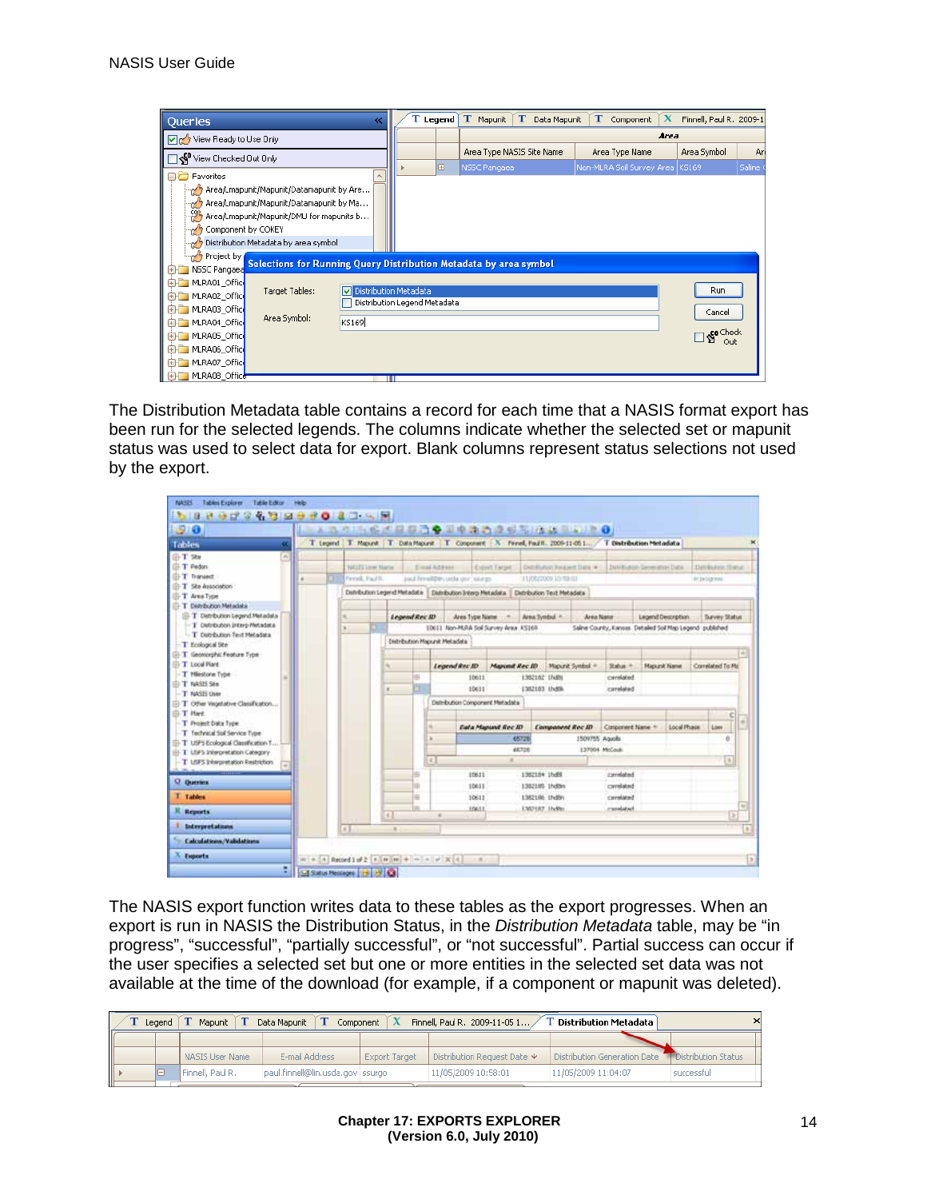| Queries                                  | ≪                                                                 |  | Legend | т<br>Mapunit | Т<br>Data Mapunit         | т<br>Component                  | x | Finnell, Paul R. 2009-1 |          |
|------------------------------------------|-------------------------------------------------------------------|--|--------|--------------|---------------------------|---------------------------------|---|-------------------------|----------|
| View Ready to Use Only                   |                                                                   |  |        |              |                           | Area                            |   |                         |          |
| View Checked Out Only                    |                                                                   |  |        |              | Area Type NASIS Site Name | Area Type Name                  |   | Area Symbol             | An       |
|                                          |                                                                   |  | Œ      | NSSC Pangaea |                           | Non-MLRA Soil Survey Area KS169 |   |                         | Saline ( |
| <b>BD</b> Favorites                      |                                                                   |  |        |              |                           |                                 |   |                         |          |
| Area/Lmapunit/Mapunit/Datamapunit by Are |                                                                   |  |        |              |                           |                                 |   |                         |          |
| Area/Lmapunit/Mapunit/Datamapunit by Ma  |                                                                   |  |        |              |                           |                                 |   |                         |          |
| Area/Lmapunit/Mapunit/DMU for mapunits b |                                                                   |  |        |              |                           |                                 |   |                         |          |
| Component by COKEY                       |                                                                   |  |        |              |                           |                                 |   |                         |          |
| Distribution Metadata by area symbol     |                                                                   |  |        |              |                           |                                 |   |                         |          |
| Project by                               |                                                                   |  |        |              |                           |                                 |   |                         |          |
| NSSC Pangaea                             | Selections for Running Query Distribution Metadata by area symbol |  |        |              |                           |                                 |   |                         |          |
| 由 MLRA01 Office                          |                                                                   |  |        |              |                           |                                 |   |                         |          |
| Target Tables:<br>由 MLRA02 Office        | Distribution Metadata                                             |  |        |              |                           |                                 |   | Run                     |          |
| 由 MLRA03 Office                          | Distribution Legend Metadata                                      |  |        |              |                           |                                 |   | Cancel                  |          |
| Area Symbol:<br>由 MLRA04 Office          | KS169                                                             |  |        |              |                           |                                 |   |                         |          |
| 由 MLRA05_Offic                           |                                                                   |  |        |              |                           |                                 |   | So Check<br>Out         |          |
| 由 MLRA06 Office                          |                                                                   |  |        |              |                           |                                 |   |                         |          |
| 由 MLRA07 Office                          |                                                                   |  |        |              |                           |                                 |   |                         |          |
| <b>ELEMBRADE Office</b>                  |                                                                   |  |        |              |                           |                                 |   |                         |          |

The Distribution Metadata table contains a record for each time that a NASIS format export has been run for the selected legends. The columns indicate whether the selected set or mapunit status was used to select data for export. Blank columns represent status selections not used by the export.

| 1510                                                                |                                                                           |                |               |                               | - A B G ING 产品与商务国中消费单位与储藏国家 2010                       |                |                                                                                                            |                  |                  |                     |             |                                                            |    |
|---------------------------------------------------------------------|---------------------------------------------------------------------------|----------------|---------------|-------------------------------|---------------------------------------------------------|----------------|------------------------------------------------------------------------------------------------------------|------------------|------------------|---------------------|-------------|------------------------------------------------------------|----|
| Tables                                                              |                                                                           |                |               |                               |                                                         |                | T Legend   T Mapunt   T Data Mapunt   T Congorant   X Fenel, Paul 1, 2009-11-051   T Distribution Metadata |                  |                  |                     |             |                                                            |    |
| G T Ste<br>m                                                        |                                                                           |                |               |                               |                                                         |                |                                                                                                            |                  |                  |                     |             |                                                            |    |
| 白T Pedon<br><b>II-T</b> Transact                                    | NASES Some Name                                                           |                |               | Email Address                 | <b>Extent Terrait</b>                                   |                | Diditional Request Sale ve 1.1 Dentisates Severator Date:                                                  |                  |                  |                     |             | DatchArm filatur                                           |    |
| T-T She Association                                                 | Finnell, Faul II.<br>just freelthis unto ner nergy<br>11/06/2009 10:53:01 |                |               |                               |                                                         |                |                                                                                                            |                  |                  | 81 18 D.D 910       |             |                                                            |    |
| T Area Type                                                         |                                                                           |                |               |                               | DotyButton Legend Metadata   DatyButton Interp Metadata |                | Distribution Text Metadeca                                                                                 |                  |                  |                     |             |                                                            |    |
| T Dehrbution Metadata                                               |                                                                           |                |               |                               |                                                         |                |                                                                                                            |                  |                  |                     |             |                                                            |    |
| <b>El-T</b> Detribution Legend Metadata                             |                                                                           |                | Legend Rec ID |                               | <b>Jose Type Name</b>                                   | Area Syndial + |                                                                                                            | <b>Area Name</b> |                  | Legend Description  |             | Survey Status                                              |    |
| - 1 Debrouton Interp Metadata<br>- T Distribution Text Metadata     | ×                                                                         |                |               |                               | 10611 Non-M.RA Soil Survey Area 13169                   |                |                                                                                                            |                  |                  |                     |             | Saline County, Kansas, Detailed Soil Map Legend, published |    |
| T Ecological Site                                                   |                                                                           |                |               | Distribution Magazik Metadata |                                                         |                |                                                                                                            |                  |                  |                     |             |                                                            |    |
| iii T Georgephic Feature Type                                       |                                                                           |                |               |                               |                                                         |                |                                                                                                            |                  |                  |                     |             |                                                            |    |
| Ti-T Local Plant                                                    |                                                                           |                |               | Legend Rec ID                 | Majorit Rec ID                                          |                | Maparat Synthol =                                                                                          |                  | Subar #          | <b>Magazik Name</b> |             | Correlated To Mi                                           |    |
| T Miestone Type<br>II-T NASIS See                                   |                                                                           |                | 串             |                               | 10611                                                   | 1382182 17x8ti |                                                                                                            |                  | cavalated        |                     |             |                                                            |    |
| T NASTS User                                                        |                                                                           | $\theta$       | E.            |                               | 10611                                                   |                | 1382193 Uvd8k                                                                                              |                  | cavalaked        |                     |             |                                                            |    |
| T Other Vegetative Classification                                   |                                                                           |                |               |                               | Distribution Component Metadata                         |                |                                                                                                            |                  |                  |                     |             |                                                            |    |
| <b>D. T. Hard</b>                                                   |                                                                           |                |               |                               |                                                         |                |                                                                                                            |                  |                  |                     |             |                                                            |    |
| T Project Data Type                                                 |                                                                           |                |               |                               | Eata Mapund Rec III                                     |                | Companent Rec ID                                                                                           |                  | Component Name 4 |                     | Local Phase | Lowe                                                       |    |
| T Technical Soli Service Type<br>T LSFS Ecological Classification T |                                                                           |                |               |                               |                                                         | 68728          |                                                                                                            | 1509755 Aquilis  |                  |                     |             | Đ.                                                         |    |
| II-T LtiPs Interpretation Category                                  |                                                                           |                |               |                               |                                                         | 68728          |                                                                                                            | 137004 McCook    |                  |                     |             |                                                            |    |
| T LISPS Interpretation Restriction                                  |                                                                           |                |               | $\left  \in \right $          | ×                                                       |                |                                                                                                            |                  |                  |                     |             | Em I                                                       |    |
|                                                                     |                                                                           |                | u,            |                               | 19611                                                   | 1382184 15488  |                                                                                                            |                  | <b>Excellent</b> |                     |             |                                                            |    |
| O Question                                                          |                                                                           |                |               |                               | 10611                                                   |                | 1302185 Unddex                                                                                             |                  | cavalated        |                     |             |                                                            |    |
| T Tables                                                            |                                                                           |                | 佃             |                               | 10611                                                   |                | 1382186 theby                                                                                              |                  | canadated        |                     |             |                                                            |    |
| <b>K</b> Reports                                                    |                                                                           | 4.             |               |                               | 10611                                                   |                | <b>ENDING INSIDE</b>                                                                                       |                  | mendatack        |                     |             |                                                            | 51 |
| <b>Interpretations</b>                                              |                                                                           | $\overline{a}$ |               |                               |                                                         |                |                                                                                                            |                  |                  |                     |             |                                                            |    |
|                                                                     | 8.5.                                                                      |                |               |                               |                                                         |                |                                                                                                            |                  |                  |                     |             |                                                            |    |

The NASIS export function writes data to these tables as the export progresses. When an export is run in NASIS the Distribution Status, in the *Distribution Metadata* table, may be "in progress", "successful", "partially successful", or "not successful". Partial success can occur if the user specifies a selected set but one or more entities in the selected set data was not available at the time of the download (for example, if a component or mapunit was deleted).

|  | Legend | Mapunit          | Data Mapunit<br>Component        |               | Finnell, Paul R. 2009-11-05 1 | Distribution Metadata        |                     |
|--|--------|------------------|----------------------------------|---------------|-------------------------------|------------------------------|---------------------|
|  |        |                  |                                  |               |                               |                              |                     |
|  |        | NASIS User Name  | E-mail Address                   | Export Target | Distribution Request Date ↓   | Distribution Generation Date | Distribution Status |
|  | le     | Finnell, Paul R. | paul.finnell@lin.usda.gov ssurgo |               | 11/05/2009 10:58:01           | 11/05/2009 11:04:07          | successful          |
|  |        |                  |                                  |               |                               |                              |                     |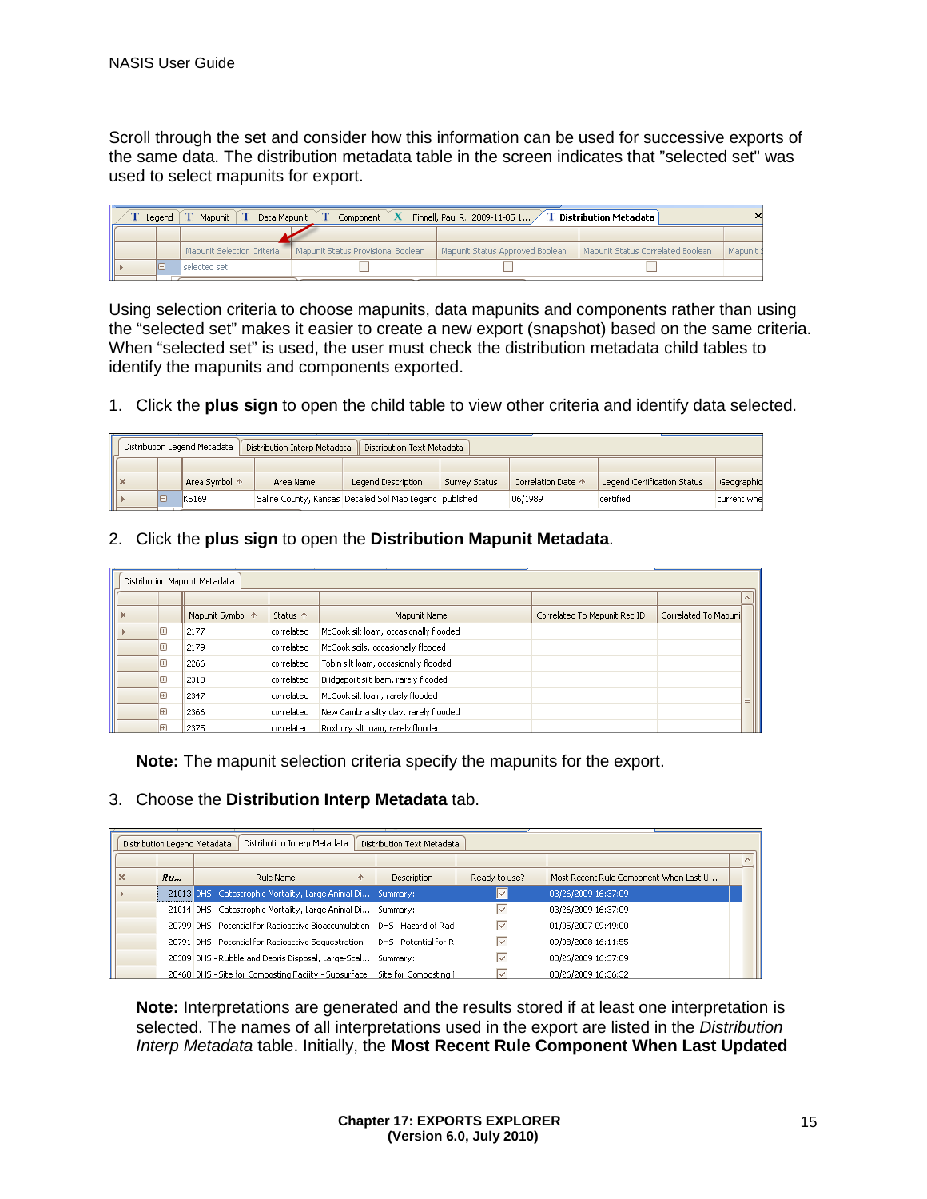Scroll through the set and consider how this information can be used for successive exports of the same data. The distribution metadata table in the screen indicates that "selected set" was used to select mapunits for export.

|    | Finnell, Paul R. 2009-11-05 1<br><b>T</b> Distribution Metadata<br>Mapunit<br>Data Mapunit<br>Component<br>Leaend |    |                            |                                    |                                 |                                   |           |  |
|----|-------------------------------------------------------------------------------------------------------------------|----|----------------------------|------------------------------------|---------------------------------|-----------------------------------|-----------|--|
|    |                                                                                                                   |    |                            |                                    |                                 |                                   |           |  |
|    |                                                                                                                   |    | Mapunit Selection Criteria | Mapunit Status Provisional Boolean | Mapunit Status Approved Boolean | Mapunit Status Correlated Boolean | Mapunit 9 |  |
| II |                                                                                                                   | IΘ | l selected set             |                                    |                                 |                                   |           |  |
|    |                                                                                                                   |    |                            |                                    |                                 |                                   |           |  |

Using selection criteria to choose mapunits, data mapunits and components rather than using the "selected set" makes it easier to create a new export (snapshot) based on the same criteria. When "selected set" is used, the user must check the distribution metadata child tables to identify the mapunits and components exported.

1. Click the **plus sign** to open the child table to view other criteria and identify data selected.

| Distribution Legend Metadata<br>Distribution Interp Metadata<br>Distribution Text Metadata |    |               |           |                                                          |               |                    |                             |              |
|--------------------------------------------------------------------------------------------|----|---------------|-----------|----------------------------------------------------------|---------------|--------------------|-----------------------------|--------------|
|                                                                                            |    |               |           |                                                          |               |                    |                             |              |
| ⊪×                                                                                         |    | Area Symbol ^ | Area Name | Legend Description                                       | Survey Status | Correlation Date ^ | Legend Certification Status | Geographic   |
|                                                                                            | le | KS169         |           | Saline County, Kansas Detailed Soil Map Legend published |               | 06/1989            | certified                   | current whel |

2. Click the **plus sign** to open the **Distribution Mapunit Metadata**.

| $\Box$ $\Box$ $\land$ $\Box$ $\Box$ |                         |   | Distribution Mapunit Metadata         |                                        |                                       |                              |                      |            |
|-------------------------------------|-------------------------|---|---------------------------------------|----------------------------------------|---------------------------------------|------------------------------|----------------------|------------|
|                                     |                         |   |                                       |                                        |                                       |                              |                      |            |
|                                     |                         |   | Mapunit Symbol ^<br>Status $\uparrow$ |                                        | Mapunit Name                          | Correlated To Mapunit Rec ID | Correlated To Mapuni |            |
|                                     | E<br>correlated<br>2177 |   |                                       | McCook silt loam, occasionally flooded |                                       |                              |                      |            |
|                                     |                         | E | 2179                                  | correlated                             | McCook soils, occasionally flooded    |                              |                      |            |
|                                     |                         | ⊕ | 2266                                  | correlated                             | Tobin silt loam, occasionally flooded |                              |                      |            |
|                                     |                         | E | 2310                                  | correlated                             | Bridgeport silt loam, rarely flooded  |                              |                      |            |
|                                     |                         | Œ | 2347                                  | correlated                             | McCook silt loam, rarely flooded      |                              |                      | $\equiv$ 1 |
|                                     | Ŧ<br>correlated<br>2366 |   |                                       | New Cambria silty clay, rarely flooded |                                       |                              |                      |            |
|                                     |                         |   | 2375                                  | correlated                             | Roxbury silt loam, rarely flooded     |                              |                      |            |

**Note:** The mapunit selection criteria specify the mapunits for the export.

### 3. Choose the **Distribution Interp Metadata** tab.

|  |    | Distribution Interp Metadata<br>Distribution Legend Metadata | Distribution Text Metadata |                   |                                        |  |
|--|----|--------------------------------------------------------------|----------------------------|-------------------|----------------------------------------|--|
|  |    |                                                              |                            |                   |                                        |  |
|  | Ru | Rule Name<br>个                                               | <b>Description</b>         | Ready to use?     | Most Recent Rule Component When Last U |  |
|  |    | 21013 DHS - Catastrophic Mortality, Large Animal Di          | Summary:                   | ◡                 | 03/26/2009 16:37:09                    |  |
|  |    | 21014 DHS - Catastrophic Mortality, Large Animal Di          | Summary:                   |                   | 03/26/2009 16:37:09                    |  |
|  |    | 20799 DHS - Potential for Radioactive Bioaccumulation        | DHS - Hazard of Rad        | $\overline{\vee}$ | 01/05/2007 09:49:00                    |  |
|  |    | 20791 DHS - Potential for Radioactive Sequestration          | DHS - Potential for R      | ✓                 | 09/08/2008 16:11:55                    |  |
|  |    | 20309 DHS - Rubble and Debris Disposal, Large-Scal           | Summary:                   |                   | 03/26/2009 16:37:09                    |  |
|  |    | 20468 DHS - Site for Composting Facility - Subsurface        | Site for Composting F      |                   | 03/26/2009 16:36:32                    |  |

**Note:** Interpretations are generated and the results stored if at least one interpretation is selected. The names of all interpretations used in the export are listed in the *Distribution Interp Metadata* table. Initially, the **Most Recent Rule Component When Last Updated**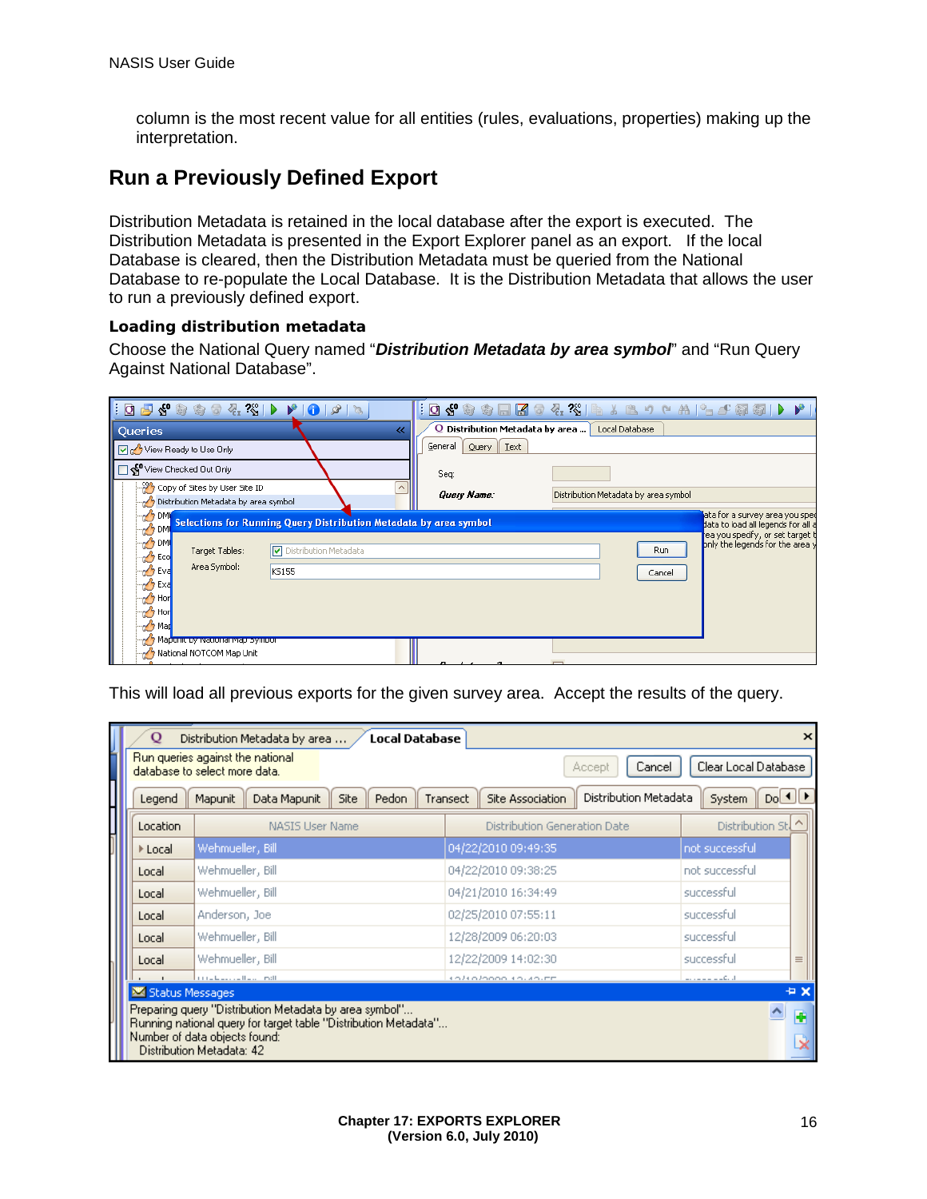column is the most recent value for all entities (rules, evaluations, properties) making up the interpretation.

### **Run a Previously Defined Export**

Distribution Metadata is retained in the local database after the export is executed. The Distribution Metadata is presented in the Export Explorer panel as an export. If the local Database is cleared, then the Distribution Metadata must be queried from the National Database to re-populate the Local Database. It is the Distribution Metadata that allows the user to run a previously defined export.

#### *Loading distribution metadata*

Choose the National Query named "*Distribution Metadata by area symbol*" and "Run Query Against National Database".

| $\mid \hspace{-.05cm} \text{\rm  }\hspace{-.04cm} \text{\rm  }\hspace{-.04cm} \text{\rm  } \text{\rm  } \text{\rm  } \text{\rm  } \text{\rm  } \text{\rm  } \text{\rm  } \text{\rm  } \text{\rm  } \text{\rm  } \text{\rm  } \text{\rm  } \text{\rm  } \text{\rm  } \text{\rm  } \text{\rm  } \text{\rm  } \text{\rm  } \text{\rm  } \text{\rm  } \text{\rm  } \text{\rm  } \text{\rm  } \text{\rm  } \text{\rm  } \text{\rm  } \text{\rm  } \text{\rm  } \text{\rm  } \text{\rm  } \$ |                                                            | $: \textbf{Q} \triangleleft \textbf{Q} \oplus \textbf{Q} \oplus \textbf{Q} \oplus \textbf{Q} \otimes \textbf{Q} \oplus \textbf{Q} \oplus \textbf{Q} \oplus \textbf{Q} \oplus \textbf{Q} \oplus \textbf{Q} \oplus \textbf{Q} \oplus \textbf{Q} \oplus \textbf{Q} \oplus \textbf{Q} \oplus \textbf{Q} \oplus \textbf{Q} \oplus \textbf{Q} \oplus \textbf{Q} \oplus \textbf{Q} \oplus \textbf{Q} \oplus \textbf{Q} \oplus \textbf{Q} \oplus \textbf{Q} \oplus \textbf$ |
|----------------------------------------------------------------------------------------------------------------------------------------------------------------------------------------------------------------------------------------------------------------------------------------------------------------------------------------------------------------------------------------------------------------------------------------------------------------------------------------|------------------------------------------------------------|---------------------------------------------------------------------------------------------------------------------------------------------------------------------------------------------------------------------------------------------------------------------------------------------------------------------------------------------------------------------------------------------------------------------------------------------------------------------|
| <b>Queries</b>                                                                                                                                                                                                                                                                                                                                                                                                                                                                         | Q Distribution Metadata by area    Local Database<br>$\ll$ |                                                                                                                                                                                                                                                                                                                                                                                                                                                                     |
| View Ready to Use Only                                                                                                                                                                                                                                                                                                                                                                                                                                                                 | General<br><b>I</b> ext<br>Query                           |                                                                                                                                                                                                                                                                                                                                                                                                                                                                     |
| View Checked Out Only                                                                                                                                                                                                                                                                                                                                                                                                                                                                  | Seq:                                                       |                                                                                                                                                                                                                                                                                                                                                                                                                                                                     |
| Copy of Sites by User Site ID<br>Distribution Metadata by area symbol                                                                                                                                                                                                                                                                                                                                                                                                                  | Query Name:                                                | Distribution Metadata by area symbol                                                                                                                                                                                                                                                                                                                                                                                                                                |
| <b>DM</b><br>Selections for Running Query Distribution Metadata by area symbol<br>O DM<br>O DMI<br>Distribution Metadata<br>Target Tables:<br><b>Property</b> Eco<br>Area Symbol:<br>n Eva<br>KS155<br><b>DO Exa</b><br><b>O</b> Hon<br>of Hor<br><b>7 Mar</b><br>Mapunit by National Map Symbor                                                                                                                                                                                       |                                                            | ata for a survey area you sped<br>data to load all legends for all a<br>ea you specify, or set target t<br>only the legends for the area y<br>Run<br>Cancel                                                                                                                                                                                                                                                                                                         |
| Mational NOTCOM Map Unit                                                                                                                                                                                                                                                                                                                                                                                                                                                               |                                                            |                                                                                                                                                                                                                                                                                                                                                                                                                                                                     |

This will load all previous exports for the given survey area. Accept the results of the query.

| Ő               | Distribution Metadata by area<br><b>Local Database</b>                                                                                                                                  |                                                       | $\boldsymbol{\times}$                                                                                                                                                                                                                                                                                                                                                                                                                                                        |
|-----------------|-----------------------------------------------------------------------------------------------------------------------------------------------------------------------------------------|-------------------------------------------------------|------------------------------------------------------------------------------------------------------------------------------------------------------------------------------------------------------------------------------------------------------------------------------------------------------------------------------------------------------------------------------------------------------------------------------------------------------------------------------|
|                 | Run queries against the national<br>database to select more data.                                                                                                                       | Cancel<br>Accept                                      | Clear Local Database                                                                                                                                                                                                                                                                                                                                                                                                                                                         |
| Legend          | Data Mapunit<br>Site<br>Mapunit<br>Pedon                                                                                                                                                | Distribution Metadata<br>Site Association<br>Transect | Do[4]<br><b>System</b>                                                                                                                                                                                                                                                                                                                                                                                                                                                       |
| Location        | <b>NASIS User Name</b>                                                                                                                                                                  | <b>Distribution Generation Date</b>                   | $\hat{\phantom{1}}$<br>Distribution Stl                                                                                                                                                                                                                                                                                                                                                                                                                                      |
| ▶ Local         | Wehmueller, Bill                                                                                                                                                                        | 04/22/2010 09:49:35                                   | not successful                                                                                                                                                                                                                                                                                                                                                                                                                                                               |
| Local           | Wehmueller, Bill                                                                                                                                                                        | 04/22/2010 09:38:25                                   | not successful                                                                                                                                                                                                                                                                                                                                                                                                                                                               |
| Local           | Wehmueller, Bill                                                                                                                                                                        | 04/21/2010 16:34:49                                   | successful                                                                                                                                                                                                                                                                                                                                                                                                                                                                   |
| Local           | Anderson, Joe                                                                                                                                                                           | 02/25/2010 07:55:11                                   | successful                                                                                                                                                                                                                                                                                                                                                                                                                                                                   |
| Local           | Wehmueller, Bill                                                                                                                                                                        | 12/28/2009 06:20:03                                   | successful                                                                                                                                                                                                                                                                                                                                                                                                                                                                   |
| Local           | Wehmueller, Bill                                                                                                                                                                        | 12/22/2009 14:02:30                                   | successful<br>$\equiv$                                                                                                                                                                                                                                                                                                                                                                                                                                                       |
| Status Messages | litre bearing the control                                                                                                                                                               | <b>CONCIDENTIAL</b>                                   | $\frac{1}{2} \left( \frac{1}{2} \left( \frac{1}{2} \right) \left( \frac{1}{2} \right) \left( \frac{1}{2} \right) \left( \frac{1}{2} \right) \left( \frac{1}{2} \right) \left( \frac{1}{2} \right) \left( \frac{1}{2} \right) \left( \frac{1}{2} \right) \left( \frac{1}{2} \right) \left( \frac{1}{2} \right) \left( \frac{1}{2} \right) \left( \frac{1}{2} \right) \left( \frac{1}{2} \right) \left( \frac{1}{2} \right) \left( \frac{1}{2} \right) \left( \frac{1}{$<br>÷× |
|                 | Preparing query "Distribution Metadata by area symbol"<br>Running national query for target table "Distribution Metadata"<br>Number of data objects found:<br>Distribution Metadata: 42 |                                                       | H                                                                                                                                                                                                                                                                                                                                                                                                                                                                            |